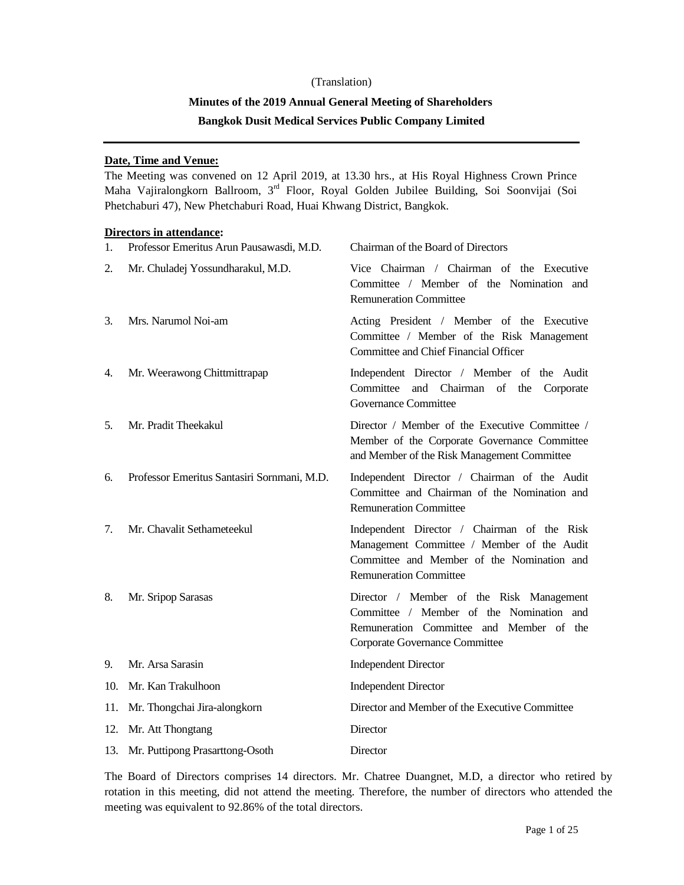# (Translation) **Minutes of the 2019 Annual General Meeting of Shareholders Bangkok Dusit Medical Services Public Company Limited**

# **Date, Time and Venue:**

The Meeting was convened on 12 April 2019, at 13.30 hrs., at His Royal Highness Crown Prince Maha Vajiralongkorn Ballroom, 3rd Floor, Royal Golden Jubilee Building, Soi Soonvijai (Soi Phetchaburi 47), New Phetchaburi Road, Huai Khwang District, Bangkok.

## **Directors in attendance:**

| 1.  | Professor Emeritus Arun Pausawasdi, M.D.    | Chairman of the Board of Directors                                                                                                                                       |
|-----|---------------------------------------------|--------------------------------------------------------------------------------------------------------------------------------------------------------------------------|
| 2.  | Mr. Chuladej Yossundharakul, M.D.           | Vice Chairman / Chairman of the Executive<br>Committee / Member of the Nomination and<br><b>Remuneration Committee</b>                                                   |
| 3.  | Mrs. Narumol Noi-am                         | Acting President / Member of the Executive<br>Committee / Member of the Risk Management<br>Committee and Chief Financial Officer                                         |
| 4.  | Mr. Weerawong Chittmittrapap                | Independent Director / Member of the Audit<br>and Chairman of the<br>Committee<br>Corporate<br><b>Governance Committee</b>                                               |
| 5.  | Mr. Pradit Theekakul                        | Director / Member of the Executive Committee /<br>Member of the Corporate Governance Committee<br>and Member of the Risk Management Committee                            |
| 6.  | Professor Emeritus Santasiri Sornmani, M.D. | Independent Director / Chairman of the Audit<br>Committee and Chairman of the Nomination and<br><b>Remuneration Committee</b>                                            |
| 7.  | Mr. Chavalit Sethameteekul                  | Independent Director / Chairman of the Risk<br>Management Committee / Member of the Audit<br>Committee and Member of the Nomination and<br><b>Remuneration Committee</b> |
| 8.  | Mr. Sripop Sarasas                          | Director / Member of the Risk Management<br>Committee / Member of the Nomination and<br>Remuneration Committee and Member of the<br>Corporate Governance Committee       |
| 9.  | Mr. Arsa Sarasin                            | <b>Independent Director</b>                                                                                                                                              |
| 10. | Mr. Kan Trakulhoon                          | <b>Independent Director</b>                                                                                                                                              |
| 11. | Mr. Thongchai Jira-alongkorn                | Director and Member of the Executive Committee                                                                                                                           |
| 12. | Mr. Att Thongtang                           | Director                                                                                                                                                                 |
| 13. | Mr. Puttipong Prasarttong-Osoth             | Director                                                                                                                                                                 |

The Board of Directors comprises 14 directors. Mr. Chatree Duangnet, M.D, a director who retired by rotation in this meeting, did not attend the meeting. Therefore, the number of directors who attended the meeting was equivalent to 92.86% of the total directors.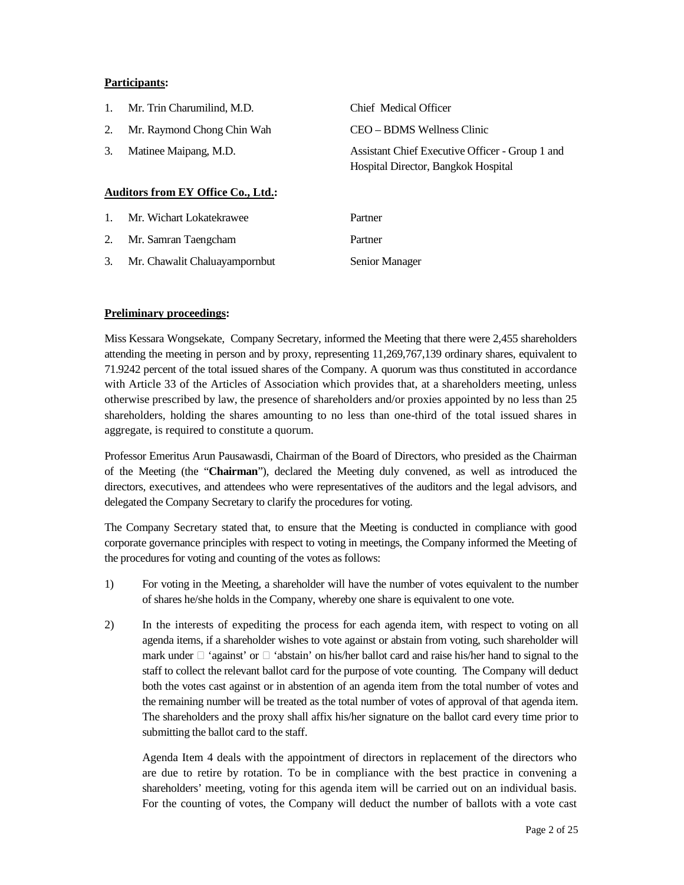## **Participants:**

| $1_{\cdot}$    | Mr. Trin Charumilind, M.D.                | Chief Medical Officer                                                                  |
|----------------|-------------------------------------------|----------------------------------------------------------------------------------------|
| 2.             | Mr. Raymond Chong Chin Wah                | CEO – BDMS Wellness Clinic                                                             |
| 3.             | Matinee Maipang, M.D.                     | Assistant Chief Executive Officer - Group 1 and<br>Hospital Director, Bangkok Hospital |
|                | <b>Auditors from EY Office Co., Ltd.:</b> |                                                                                        |
| $\mathbf{1}$ . | Mr. Wichart Lokatekrawee                  | Partner                                                                                |
| 2.             | Mr. Samran Taengcham                      | Partner                                                                                |
| 3.             | Mr. Chawalit Chaluayampornbut             | Senior Manager                                                                         |

## **Preliminary proceedings:**

Miss Kessara Wongsekate, Company Secretary, informed the Meeting that there were 2,455 shareholders attending the meeting in person and by proxy, representing 11,269,767,139 ordinary shares, equivalent to 71.9242 percent of the total issued shares of the Company. A quorum was thus constituted in accordance with Article 33 of the Articles of Association which provides that, at a shareholders meeting, unless otherwise prescribed by law, the presence of shareholders and/or proxies appointed by no less than 25 shareholders, holding the shares amounting to no less than one-third of the total issued shares in aggregate, is required to constitute a quorum.

Professor Emeritus Arun Pausawasdi, Chairman of the Board of Directors, who presided as the Chairman of the Meeting (the "**Chairman**"), declared the Meeting duly convened, as well as introduced the directors, executives, and attendees who were representatives of the auditors and the legal advisors, and delegated the Company Secretary to clarify the procedures for voting.

The Company Secretary stated that, to ensure that the Meeting is conducted in compliance with good corporate governance principles with respect to voting in meetings, the Company informed the Meeting of the procedures for voting and counting of the votes as follows:

- 1) For voting in the Meeting, a shareholder will have the number of votes equivalent to the number of shares he/she holds in the Company, whereby one share is equivalent to one vote.
- 2) In the interests of expediting the process for each agenda item, with respect to voting on all agenda items, if a shareholder wishes to vote against or abstain from voting, such shareholder will mark under  $\Box$  'against' or  $\Box$  'abstain' on his/her ballot card and raise his/her hand to signal to the staff to collect the relevant ballot card for the purpose of vote counting. The Company will deduct both the votes cast against or in abstention of an agenda item from the total number of votes and the remaining number will be treated as the total number of votes of approval of that agenda item. The shareholders and the proxy shall affix his/her signature on the ballot card every time prior to submitting the ballot card to the staff.

Agenda Item 4 deals with the appointment of directors in replacement of the directors who are due to retire by rotation. To be in compliance with the best practice in convening a shareholders' meeting, voting for this agenda item will be carried out on an individual basis. For the counting of votes, the Company will deduct the number of ballots with a vote cast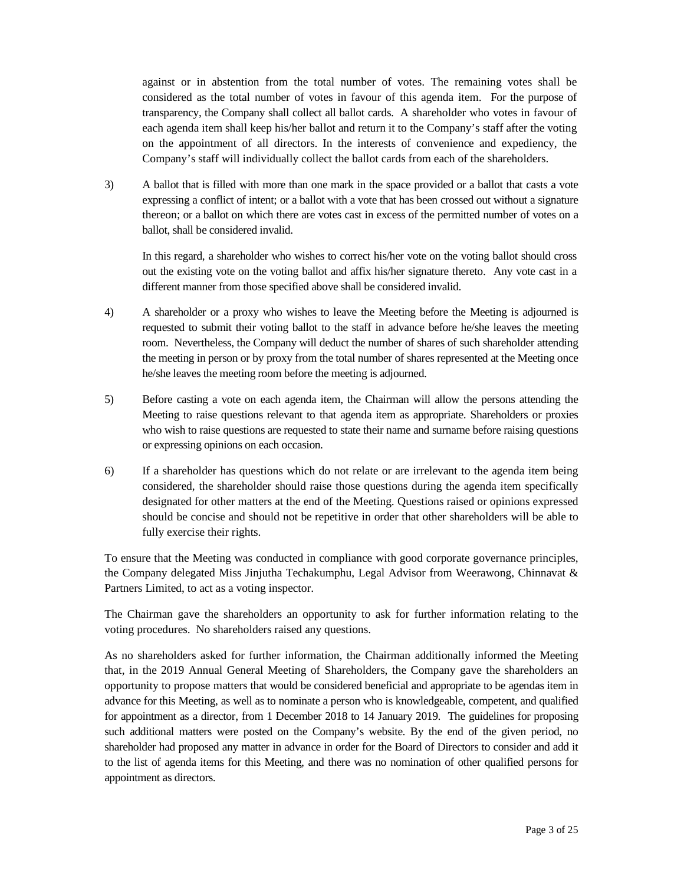against or in abstention from the total number of votes. The remaining votes shall be considered as the total number of votes in favour of this agenda item. For the purpose of transparency, the Company shall collect all ballot cards. A shareholder who votes in favour of each agenda item shall keep his/her ballot and return it to the Company's staff after the voting on the appointment of all directors. In the interests of convenience and expediency, the Company's staff will individually collect the ballot cards from each of the shareholders.

3) A ballot that is filled with more than one mark in the space provided or a ballot that casts a vote expressing a conflict of intent; or a ballot with a vote that has been crossed out without a signature thereon; or a ballot on which there are votes cast in excess of the permitted number of votes on a ballot, shall be considered invalid.

In this regard, a shareholder who wishes to correct his/her vote on the voting ballot should cross out the existing vote on the voting ballot and affix his/her signature thereto. Any vote cast in a different manner from those specified above shall be considered invalid.

- 4) A shareholder or a proxy who wishes to leave the Meeting before the Meeting is adjourned is requested to submit their voting ballot to the staff in advance before he/she leaves the meeting room. Nevertheless, the Company will deduct the number of shares of such shareholder attending the meeting in person or by proxy from the total number of shares represented at the Meeting once he/she leaves the meeting room before the meeting is adjourned.
- 5) Before casting a vote on each agenda item, the Chairman will allow the persons attending the Meeting to raise questions relevant to that agenda item as appropriate. Shareholders or proxies who wish to raise questions are requested to state their name and surname before raising questions or expressing opinions on each occasion.
- 6) If a shareholder has questions which do not relate or are irrelevant to the agenda item being considered, the shareholder should raise those questions during the agenda item specifically designated for other matters at the end of the Meeting. Questions raised or opinions expressed should be concise and should not be repetitive in order that other shareholders will be able to fully exercise their rights.

To ensure that the Meeting was conducted in compliance with good corporate governance principles, the Company delegated Miss Jinjutha Techakumphu, Legal Advisor from Weerawong, Chinnavat & Partners Limited, to act as a voting inspector.

The Chairman gave the shareholders an opportunity to ask for further information relating to the voting procedures. No shareholders raised any questions.

As no shareholders asked for further information, the Chairman additionally informed the Meeting that, in the 2019 Annual General Meeting of Shareholders, the Company gave the shareholders an opportunity to propose matters that would be considered beneficial and appropriate to be agendas item in advance for this Meeting, as well as to nominate a person who is knowledgeable, competent, and qualified for appointment as a director, from 1 December 2018 to 14 January 2019. The guidelines for proposing such additional matters were posted on the Company's website. By the end of the given period, no shareholder had proposed any matter in advance in order for the Board of Directors to consider and add it to the list of agenda items for this Meeting, and there was no nomination of other qualified persons for appointment as directors.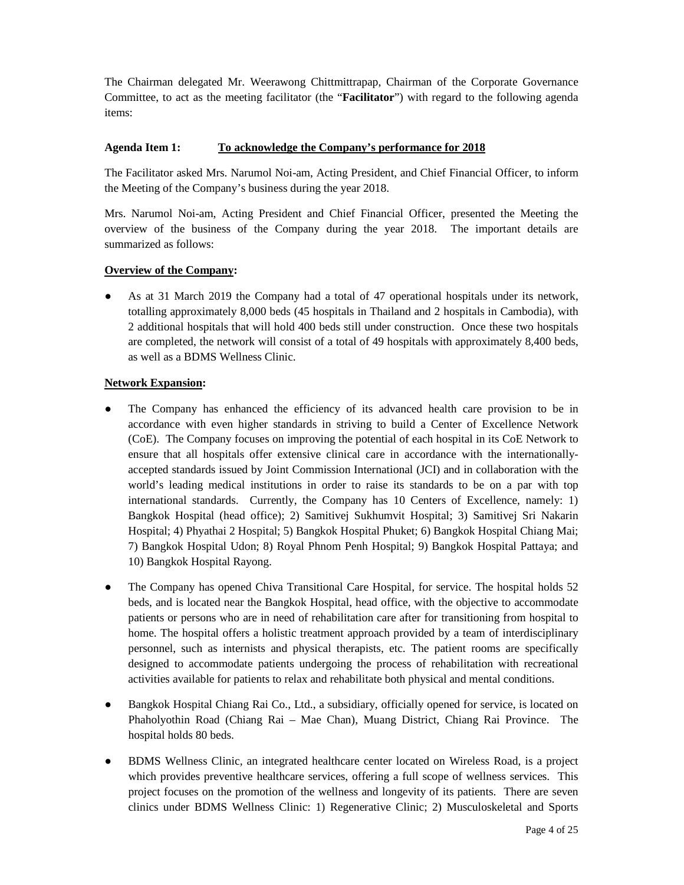The Chairman delegated Mr. Weerawong Chittmittrapap, Chairman of the Corporate Governance Committee, to act as the meeting facilitator (the "**Facilitator**") with regard to the following agenda items:

# **Agenda Item 1: To acknowledge the Company's performance for 2018**

The Facilitator asked Mrs. Narumol Noi-am, Acting President, and Chief Financial Officer, to inform the Meeting of the Company's business during the year 2018.

Mrs. Narumol Noi-am, Acting President and Chief Financial Officer, presented the Meeting the overview of the business of the Company during the year 2018. The important details are summarized as follows:

# **Overview of the Company:**

As at 31 March 2019 the Company had a total of 47 operational hospitals under its network, totalling approximately 8,000 beds (45 hospitals in Thailand and 2 hospitals in Cambodia), with 2 additional hospitals that will hold 400 beds still under construction. Once these two hospitals are completed, the network will consist of a total of 49 hospitals with approximately 8,400 beds, as well as a BDMS Wellness Clinic.

## **Network Expansion:**

- The Company has enhanced the efficiency of its advanced health care provision to be in accordance with even higher standards in striving to build a Center of Excellence Network (CoE). The Company focuses on improving the potential of each hospital in its CoE Network to ensure that all hospitals offer extensive clinical care in accordance with the internationallyaccepted standards issued by Joint Commission International (JCI) and in collaboration with the world's leading medical institutions in order to raise its standards to be on a par with top international standards. Currently, the Company has 10 Centers of Excellence, namely: 1) Bangkok Hospital (head office); 2) Samitivej Sukhumvit Hospital; 3) Samitivej Sri Nakarin Hospital; 4) Phyathai 2 Hospital; 5) Bangkok Hospital Phuket; 6) Bangkok Hospital Chiang Mai; 7) Bangkok Hospital Udon; 8) Royal Phnom Penh Hospital; 9) Bangkok Hospital Pattaya; and 10) Bangkok Hospital Rayong.
- The Company has opened Chiva Transitional Care Hospital, for service. The hospital holds 52 beds, and is located near the Bangkok Hospital, head office, with the objective to accommodate patients or persons who are in need of rehabilitation care after for transitioning from hospital to home. The hospital offers a holistic treatment approach provided by a team of interdisciplinary personnel, such as internists and physical therapists, etc. The patient rooms are specifically designed to accommodate patients undergoing the process of rehabilitation with recreational activities available for patients to relax and rehabilitate both physical and mental conditions.
- Bangkok Hospital Chiang Rai Co., Ltd., a subsidiary, officially opened for service, is located on Phaholyothin Road (Chiang Rai – Mae Chan), Muang District, Chiang Rai Province. The hospital holds 80 beds.
- BDMS Wellness Clinic, an integrated healthcare center located on Wireless Road, is a project which provides preventive healthcare services, offering a full scope of wellness services. This project focuses on the promotion of the wellness and longevity of its patients. There are seven clinics under BDMS Wellness Clinic: 1) Regenerative Clinic; 2) Musculoskeletal and Sports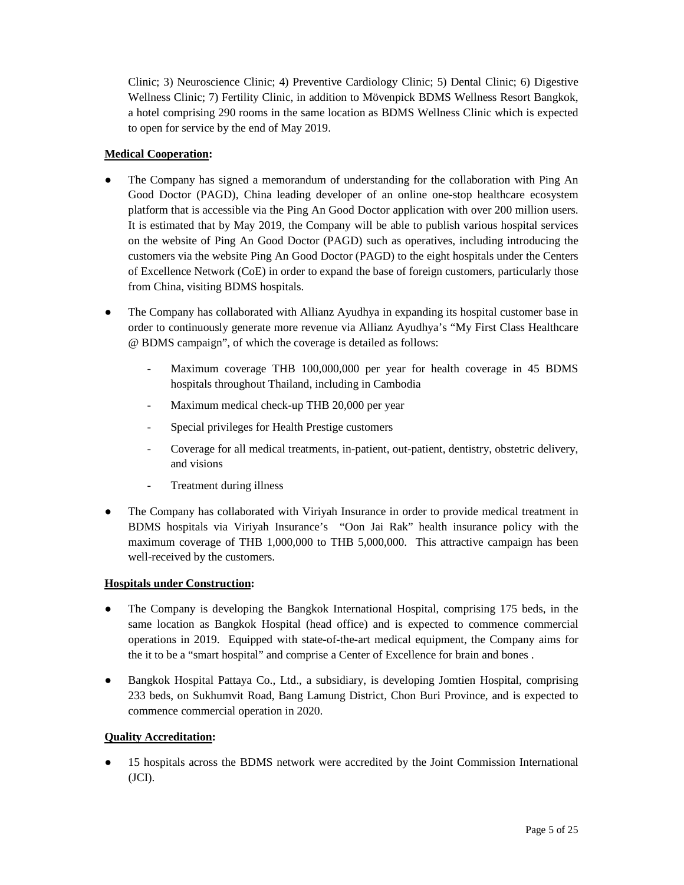Clinic; 3) Neuroscience Clinic; 4) Preventive Cardiology Clinic; 5) Dental Clinic; 6) Digestive Wellness Clinic; 7) Fertility Clinic, in addition to Mövenpick BDMS Wellness Resort Bangkok, a hotel comprising 290 rooms in the same location as BDMS Wellness Clinic which is expected to open for service by the end of May 2019.

# **Medical Cooperation:**

- The Company has signed a memorandum of understanding for the collaboration with Ping An Good Doctor (PAGD), China leading developer of an online one-stop healthcare ecosystem platform that is accessible via the Ping An Good Doctor application with over 200 million users. It is estimated that by May 2019, the Company will be able to publish various hospital services on the website of Ping An Good Doctor (PAGD) such as operatives, including introducing the customers via the website Ping An Good Doctor (PAGD) to the eight hospitals under the Centers of Excellence Network (CoE) in order to expand the base of foreign customers, particularly those from China, visiting BDMS hospitals.
- The Company has collaborated with Allianz Ayudhya in expanding its hospital customer base in order to continuously generate more revenue via Allianz Ayudhya's "My First Class Healthcare @ BDMS campaign", of which the coverage is detailed as follows:
	- Maximum coverage THB 100,000,000 per year for health coverage in 45 BDMS hospitals throughout Thailand, including in Cambodia
	- Maximum medical check-up THB 20,000 per year
	- Special privileges for Health Prestige customers
	- Coverage for all medical treatments, in-patient, out-patient, dentistry, obstetric delivery, and visions
	- Treatment during illness
- The Company has collaborated with Viriyah Insurance in order to provide medical treatment in BDMS hospitals via Viriyah Insurance's "Oon Jai Rak" health insurance policy with the maximum coverage of THB 1,000,000 to THB 5,000,000. This attractive campaign has been well-received by the customers.

# **Hospitals under Construction:**

- The Company is developing the Bangkok International Hospital, comprising 175 beds, in the same location as Bangkok Hospital (head office) and is expected to commence commercial operations in 2019. Equipped with state-of-the-art medical equipment, the Company aims for the it to be a "smart hospital" and comprise a Center of Excellence for brain and bones .
- Bangkok Hospital Pattaya Co., Ltd., a subsidiary, is developing Jomtien Hospital, comprising 233 beds, on Sukhumvit Road, Bang Lamung District, Chon Buri Province, and is expected to commence commercial operation in 2020.

# **Quality Accreditation:**

15 hospitals across the BDMS network were accredited by the Joint Commission International  $(JCI).$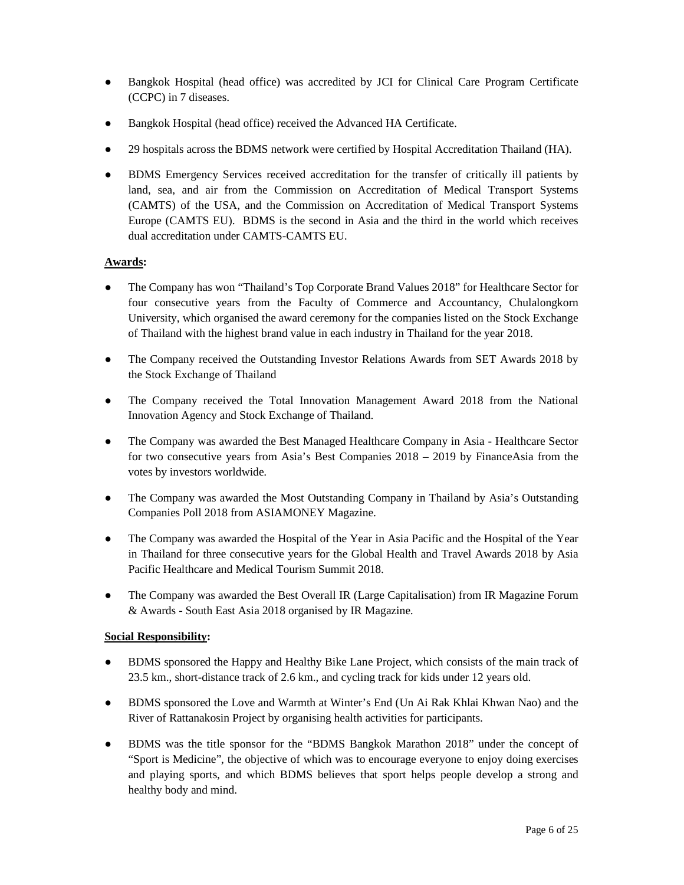- Bangkok Hospital (head office) was accredited by JCI for Clinical Care Program Certificate (CCPC) in 7 diseases.
- Bangkok Hospital (head office) received the Advanced HA Certificate.
- 29 hospitals across the BDMS network were certified by Hospital Accreditation Thailand (HA).
- BDMS Emergency Services received accreditation for the transfer of critically ill patients by land, sea, and air from the Commission on Accreditation of Medical Transport Systems (CAMTS) of the USA, and the Commission on Accreditation of Medical Transport Systems Europe (CAMTS EU). BDMS is the second in Asia and the third in the world which receives dual accreditation under CAMTS-CAMTS EU.

# **Awards:**

- The Company has won "Thailand's Top Corporate Brand Values 2018" for Healthcare Sector for four consecutive years from the Faculty of Commerce and Accountancy, Chulalongkorn University, which organised the award ceremony for the companies listed on the Stock Exchange of Thailand with the highest brand value in each industry in Thailand for the year 2018.
- The Company received the Outstanding Investor Relations Awards from SET Awards 2018 by the Stock Exchange of Thailand
- The Company received the Total Innovation Management Award 2018 from the National Innovation Agency and Stock Exchange of Thailand.
- The Company was awarded the Best Managed Healthcare Company in Asia Healthcare Sector for two consecutive years from Asia's Best Companies 2018 – 2019 by FinanceAsia from the votes by investors worldwide.
- The Company was awarded the Most Outstanding Company in Thailand by Asia's Outstanding Companies Poll 2018 from ASIAMONEY Magazine.
- The Company was awarded the Hospital of the Year in Asia Pacific and the Hospital of the Year in Thailand for three consecutive years for the Global Health and Travel Awards 2018 by Asia Pacific Healthcare and Medical Tourism Summit 2018.
- The Company was awarded the Best Overall IR (Large Capitalisation) from IR Magazine Forum & Awards - South East Asia 2018 organised by IR Magazine.

# **Social Responsibility:**

- BDMS sponsored the Happy and Healthy Bike Lane Project, which consists of the main track of 23.5 km., short-distance track of 2.6 km., and cycling track for kids under 12 years old.
- BDMS sponsored the Love and Warmth at Winter's End (Un Ai Rak Khlai Khwan Nao) and the River of Rattanakosin Project by organising health activities for participants.
- BDMS was the title sponsor for the "BDMS Bangkok Marathon 2018" under the concept of "Sport is Medicine", the objective of which was to encourage everyone to enjoy doing exercises and playing sports, and which BDMS believes that sport helps people develop a strong and healthy body and mind.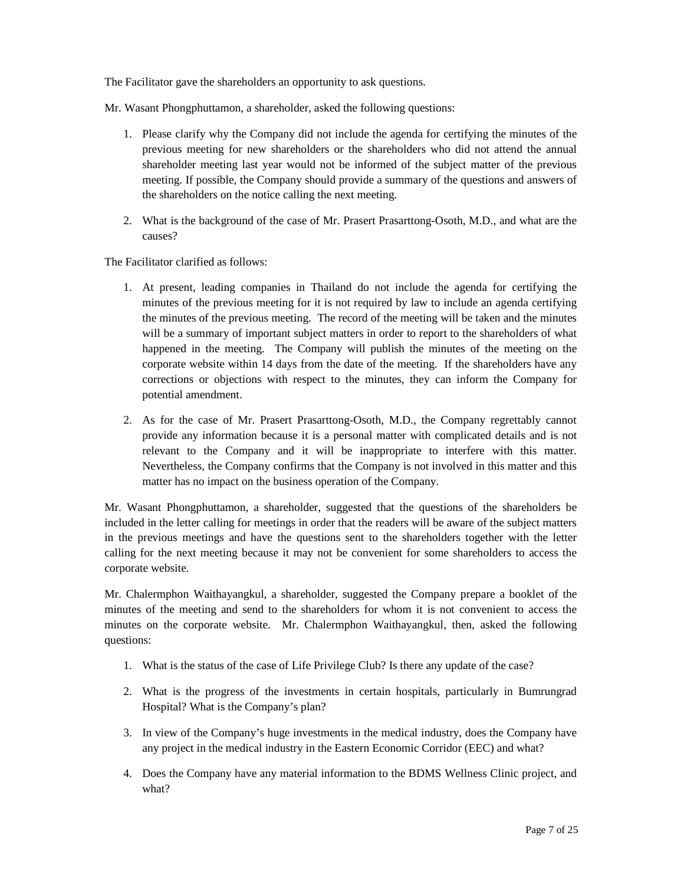The Facilitator gave the shareholders an opportunity to ask questions.

Mr. Wasant Phongphuttamon, a shareholder, asked the following questions:

- 1. Please clarify why the Company did not include the agenda for certifying the minutes of the previous meeting for new shareholders or the shareholders who did not attend the annual shareholder meeting last year would not be informed of the subject matter of the previous meeting. If possible, the Company should provide a summary of the questions and answers of the shareholders on the notice calling the next meeting.
- 2. What is the background of the case of Mr. Prasert Prasarttong-Osoth, M.D., and what are the causes?

The Facilitator clarified as follows:

- 1. At present, leading companies in Thailand do not include the agenda for certifying the minutes of the previous meeting for it is not required by law to include an agenda certifying the minutes of the previous meeting. The record of the meeting will be taken and the minutes will be a summary of important subject matters in order to report to the shareholders of what happened in the meeting. The Company will publish the minutes of the meeting on the corporate website within 14 days from the date of the meeting. If the shareholders have any corrections or objections with respect to the minutes, they can inform the Company for potential amendment.
- 2. As for the case of Mr. Prasert Prasarttong-Osoth, M.D., the Company regrettably cannot provide any information because it is a personal matter with complicated details and is not relevant to the Company and it will be inappropriate to interfere with this matter. Nevertheless, the Company confirms that the Company is not involved in this matter and this matter has no impact on the business operation of the Company.

Mr. Wasant Phongphuttamon, a shareholder, suggested that the questions of the shareholders be included in the letter calling for meetings in order that the readers will be aware of the subject matters in the previous meetings and have the questions sent to the shareholders together with the letter calling for the next meeting because it may not be convenient for some shareholders to access the corporate website.

Mr. Chalermphon Waithayangkul, a shareholder, suggested the Company prepare a booklet of the minutes of the meeting and send to the shareholders for whom it is not convenient to access the minutes on the corporate website. Mr. Chalermphon Waithayangkul, then, asked the following questions:

- 1. What is the status of the case of Life Privilege Club? Is there any update of the case?
- 2. What is the progress of the investments in certain hospitals, particularly in Bumrungrad Hospital? What is the Company's plan?
- 3. In view of the Company's huge investments in the medical industry, does the Company have any project in the medical industry in the Eastern Economic Corridor (EEC) and what?
- 4. Does the Company have any material information to the BDMS Wellness Clinic project, and what?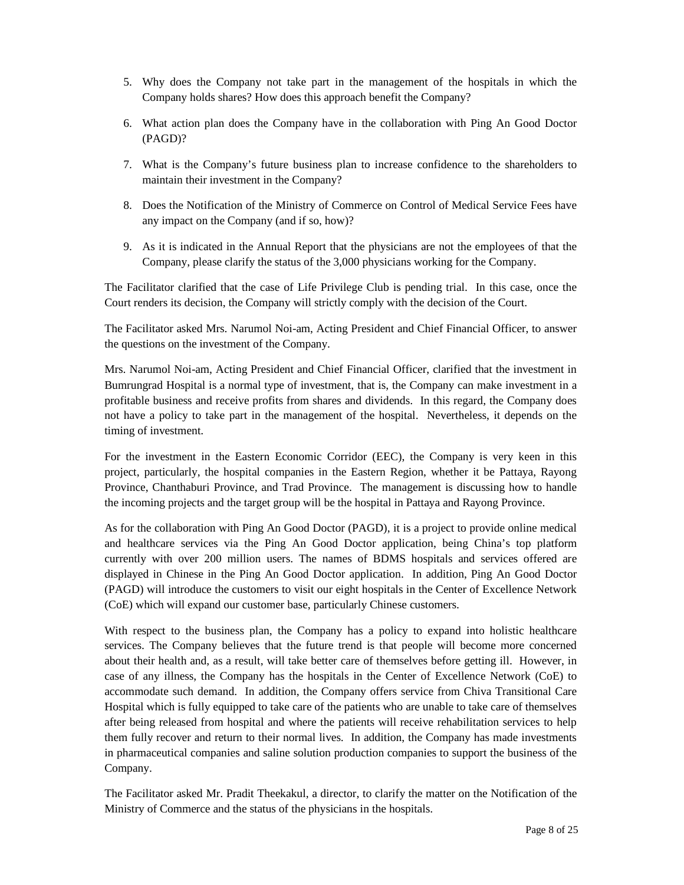- 5. Why does the Company not take part in the management of the hospitals in which the Company holds shares? How does this approach benefit the Company?
- 6. What action plan does the Company have in the collaboration with Ping An Good Doctor (PAGD)?
- 7. What is the Company's future business plan to increase confidence to the shareholders to maintain their investment in the Company?
- 8. Does the Notification of the Ministry of Commerce on Control of Medical Service Fees have any impact on the Company (and if so, how)?
- 9. As it is indicated in the Annual Report that the physicians are not the employees of that the Company, please clarify the status of the 3,000 physicians working for the Company.

The Facilitator clarified that the case of Life Privilege Club is pending trial. In this case, once the Court renders its decision, the Company will strictly comply with the decision of the Court.

The Facilitator asked Mrs. Narumol Noi-am, Acting President and Chief Financial Officer, to answer the questions on the investment of the Company.

Mrs. Narumol Noi-am, Acting President and Chief Financial Officer, clarified that the investment in Bumrungrad Hospital is a normal type of investment, that is, the Company can make investment in a profitable business and receive profits from shares and dividends. In this regard, the Company does not have a policy to take part in the management of the hospital. Nevertheless, it depends on the timing of investment.

For the investment in the Eastern Economic Corridor (EEC), the Company is very keen in this project, particularly, the hospital companies in the Eastern Region, whether it be Pattaya, Rayong Province, Chanthaburi Province, and Trad Province. The management is discussing how to handle the incoming projects and the target group will be the hospital in Pattaya and Rayong Province.

As for the collaboration with Ping An Good Doctor (PAGD), it is a project to provide online medical and healthcare services via the Ping An Good Doctor application, being China's top platform currently with over 200 million users. The names of BDMS hospitals and services offered are displayed in Chinese in the Ping An Good Doctor application. In addition, Ping An Good Doctor (PAGD) will introduce the customers to visit our eight hospitals in the Center of Excellence Network (CoE) which will expand our customer base, particularly Chinese customers.

With respect to the business plan, the Company has a policy to expand into holistic healthcare services. The Company believes that the future trend is that people will become more concerned about their health and, as a result, will take better care of themselves before getting ill. However, in case of any illness, the Company has the hospitals in the Center of Excellence Network (CoE) to accommodate such demand. In addition, the Company offers service from Chiva Transitional Care Hospital which is fully equipped to take care of the patients who are unable to take care of themselves after being released from hospital and where the patients will receive rehabilitation services to help them fully recover and return to their normal lives. In addition, the Company has made investments in pharmaceutical companies and saline solution production companies to support the business of the Company.

The Facilitator asked Mr. Pradit Theekakul, a director, to clarify the matter on the Notification of the Ministry of Commerce and the status of the physicians in the hospitals.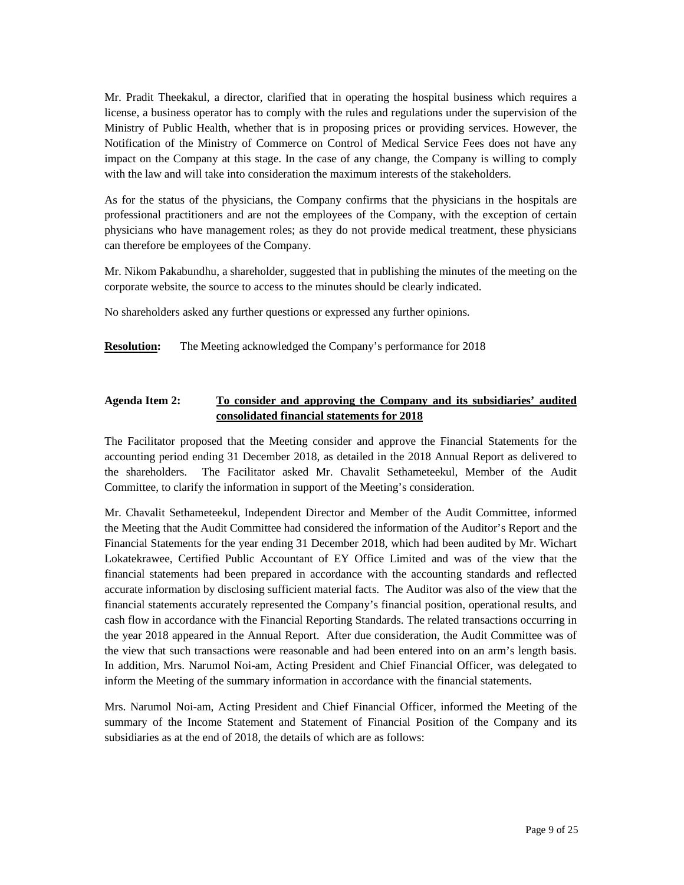Mr. Pradit Theekakul, a director, clarified that in operating the hospital business which requires a license, a business operator has to comply with the rules and regulations under the supervision of the Ministry of Public Health, whether that is in proposing prices or providing services. However, the Notification of the Ministry of Commerce on Control of Medical Service Fees does not have any impact on the Company at this stage. In the case of any change, the Company is willing to comply with the law and will take into consideration the maximum interests of the stakeholders.

As for the status of the physicians, the Company confirms that the physicians in the hospitals are professional practitioners and are not the employees of the Company, with the exception of certain physicians who have management roles; as they do not provide medical treatment, these physicians can therefore be employees of the Company.

Mr. Nikom Pakabundhu, a shareholder, suggested that in publishing the minutes of the meeting on the corporate website, the source to access to the minutes should be clearly indicated.

No shareholders asked any further questions or expressed any further opinions.

**Resolution:** The Meeting acknowledged the Company's performance for 2018

# **Agenda Item 2: To consider and approving the Company and its subsidiaries' audited consolidated financial statements for 2018**

The Facilitator proposed that the Meeting consider and approve the Financial Statements for the accounting period ending 31 December 2018, as detailed in the 2018 Annual Report as delivered to the shareholders. The Facilitator asked Mr. Chavalit Sethameteekul, Member of the Audit Committee, to clarify the information in support of the Meeting's consideration.

Mr. Chavalit Sethameteekul, Independent Director and Member of the Audit Committee, informed the Meeting that the Audit Committee had considered the information of the Auditor's Report and the Financial Statements for the year ending 31 December 2018, which had been audited by Mr. Wichart Lokatekrawee, Certified Public Accountant of EY Office Limited and was of the view that the financial statements had been prepared in accordance with the accounting standards and reflected accurate information by disclosing sufficient material facts. The Auditor was also of the view that the financial statements accurately represented the Company's financial position, operational results, and cash flow in accordance with the Financial Reporting Standards. The related transactions occurring in the year 2018 appeared in the Annual Report. After due consideration, the Audit Committee was of the view that such transactions were reasonable and had been entered into on an arm's length basis. In addition, Mrs. Narumol Noi-am, Acting President and Chief Financial Officer, was delegated to inform the Meeting of the summary information in accordance with the financial statements.

Mrs. Narumol Noi-am, Acting President and Chief Financial Officer, informed the Meeting of the summary of the Income Statement and Statement of Financial Position of the Company and its subsidiaries as at the end of 2018, the details of which are as follows: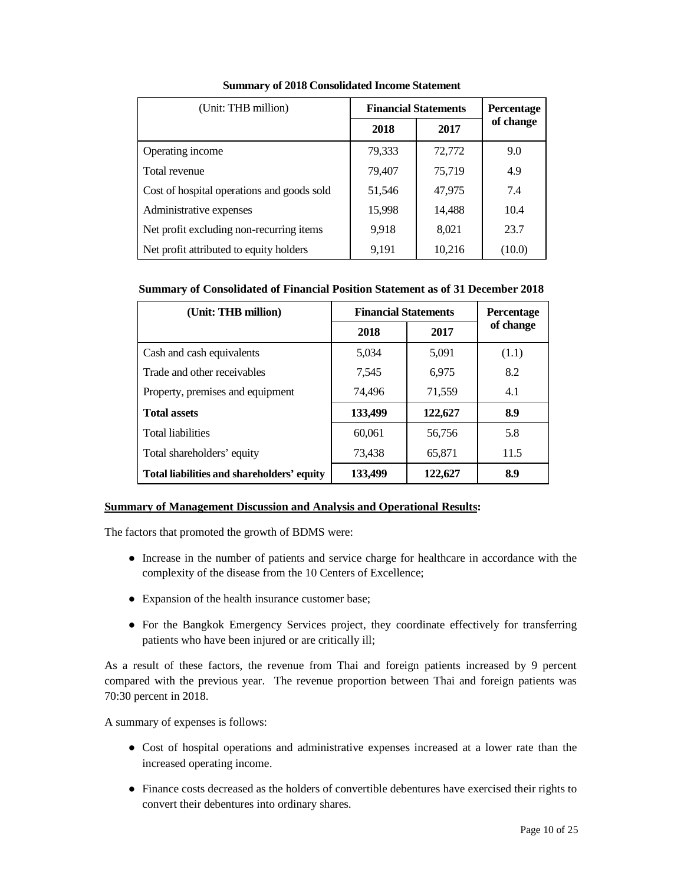| (Unit: THB million)                        | <b>Financial Statements</b> |        | <b>Percentage</b> |
|--------------------------------------------|-----------------------------|--------|-------------------|
|                                            | 2018                        | 2017   | of change         |
| Operating income                           | 79,333                      | 72,772 | 9.0               |
| Total revenue                              | 79,407                      | 75,719 | 4.9               |
| Cost of hospital operations and goods sold | 51,546                      | 47,975 | 7.4               |
| Administrative expenses                    | 15,998                      | 14,488 | 10.4              |
| Net profit excluding non-recurring items   | 9.918                       | 8,021  | 23.7              |
| Net profit attributed to equity holders    | 9,191                       | 10,216 | (10.0)            |

**Summary of 2018 Consolidated Income Statement** 

## **Summary of Consolidated of Financial Position Statement as of 31 December 2018**

| (Unit: THB million)                        | <b>Financial Statements</b> | <b>Percentage</b> |           |
|--------------------------------------------|-----------------------------|-------------------|-----------|
|                                            | 2018                        | 2017              | of change |
| Cash and cash equivalents                  | 5,034                       | 5,091             | (1.1)     |
| Trade and other receivables                | 7,545                       | 6.975             | 8.2       |
| Property, premises and equipment           | 74,496                      | 71,559            | 4.1       |
| <b>Total assets</b>                        | 133,499                     | 122,627           | 8.9       |
| <b>Total liabilities</b>                   | 60,061                      | 56,756            | 5.8       |
| Total shareholders' equity                 | 73,438                      | 65,871            | 11.5      |
| Total liabilities and shareholders' equity | 133,499                     | 122,627           | 8.9       |

# **Summary of Management Discussion and Analysis and Operational Results:**

The factors that promoted the growth of BDMS were:

- Increase in the number of patients and service charge for healthcare in accordance with the complexity of the disease from the 10 Centers of Excellence;
- Expansion of the health insurance customer base;
- For the Bangkok Emergency Services project, they coordinate effectively for transferring patients who have been injured or are critically ill;

As a result of these factors, the revenue from Thai and foreign patients increased by 9 percent compared with the previous year. The revenue proportion between Thai and foreign patients was 70:30 percent in 2018.

A summary of expenses is follows:

- Cost of hospital operations and administrative expenses increased at a lower rate than the increased operating income.
- Finance costs decreased as the holders of convertible debentures have exercised their rights to convert their debentures into ordinary shares.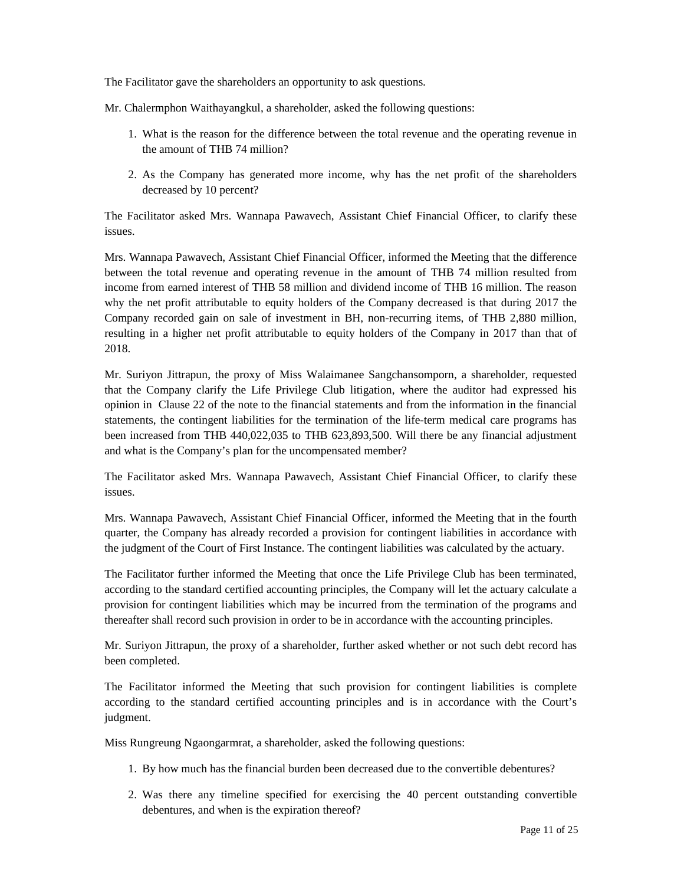The Facilitator gave the shareholders an opportunity to ask questions.

Mr. Chalermphon Waithayangkul, a shareholder, asked the following questions:

- 1. What is the reason for the difference between the total revenue and the operating revenue in the amount of THB 74 million?
- 2. As the Company has generated more income, why has the net profit of the shareholders decreased by 10 percent?

The Facilitator asked Mrs. Wannapa Pawavech, Assistant Chief Financial Officer, to clarify these issues.

Mrs. Wannapa Pawavech, Assistant Chief Financial Officer, informed the Meeting that the difference between the total revenue and operating revenue in the amount of THB 74 million resulted from income from earned interest of THB 58 million and dividend income of THB 16 million. The reason why the net profit attributable to equity holders of the Company decreased is that during 2017 the Company recorded gain on sale of investment in BH, non-recurring items, of THB 2,880 million, resulting in a higher net profit attributable to equity holders of the Company in 2017 than that of 2018.

Mr. Suriyon Jittrapun, the proxy of Miss Walaimanee Sangchansomporn, a shareholder, requested that the Company clarify the Life Privilege Club litigation, where the auditor had expressed his opinion in Clause 22 of the note to the financial statements and from the information in the financial statements, the contingent liabilities for the termination of the life-term medical care programs has been increased from THB 440,022,035 to THB 623,893,500. Will there be any financial adjustment and what is the Company's plan for the uncompensated member?

The Facilitator asked Mrs. Wannapa Pawavech, Assistant Chief Financial Officer, to clarify these issues.

Mrs. Wannapa Pawavech, Assistant Chief Financial Officer, informed the Meeting that in the fourth quarter, the Company has already recorded a provision for contingent liabilities in accordance with the judgment of the Court of First Instance. The contingent liabilities was calculated by the actuary.

The Facilitator further informed the Meeting that once the Life Privilege Club has been terminated, according to the standard certified accounting principles, the Company will let the actuary calculate a provision for contingent liabilities which may be incurred from the termination of the programs and thereafter shall record such provision in order to be in accordance with the accounting principles.

Mr. Suriyon Jittrapun, the proxy of a shareholder, further asked whether or not such debt record has been completed.

The Facilitator informed the Meeting that such provision for contingent liabilities is complete according to the standard certified accounting principles and is in accordance with the Court's judgment.

Miss Rungreung Ngaongarmrat, a shareholder, asked the following questions:

- 1. By how much has the financial burden been decreased due to the convertible debentures?
- 2. Was there any timeline specified for exercising the 40 percent outstanding convertible debentures, and when is the expiration thereof?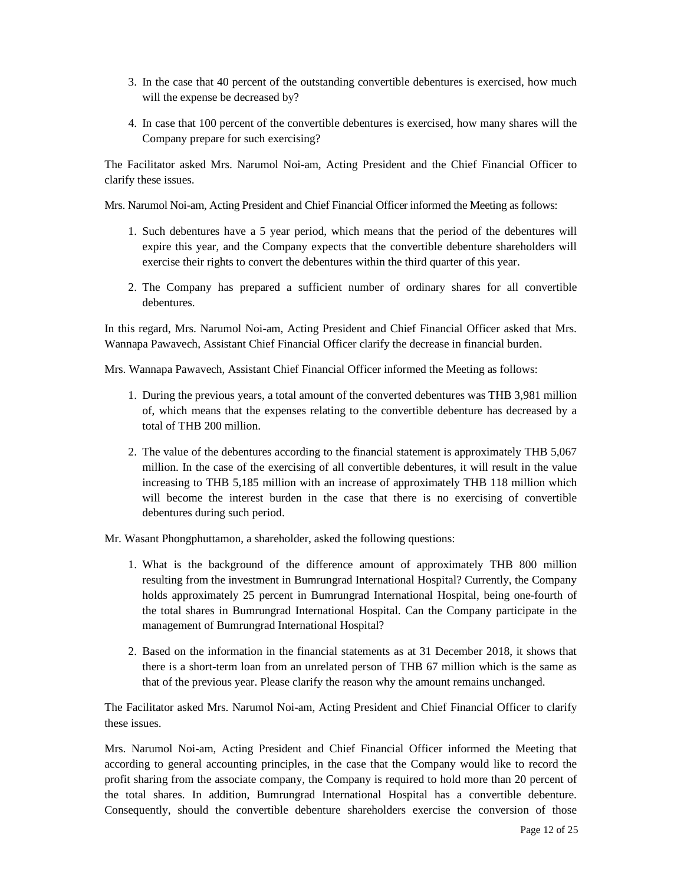- 3. In the case that 40 percent of the outstanding convertible debentures is exercised, how much will the expense be decreased by?
- 4. In case that 100 percent of the convertible debentures is exercised, how many shares will the Company prepare for such exercising?

The Facilitator asked Mrs. Narumol Noi-am, Acting President and the Chief Financial Officer to clarify these issues.

Mrs. Narumol Noi-am, Acting President and Chief Financial Officer informed the Meeting as follows:

- 1. Such debentures have a 5 year period, which means that the period of the debentures will expire this year, and the Company expects that the convertible debenture shareholders will exercise their rights to convert the debentures within the third quarter of this year.
- 2. The Company has prepared a sufficient number of ordinary shares for all convertible debentures.

In this regard, Mrs. Narumol Noi-am, Acting President and Chief Financial Officer asked that Mrs. Wannapa Pawavech, Assistant Chief Financial Officer clarify the decrease in financial burden.

Mrs. Wannapa Pawavech, Assistant Chief Financial Officer informed the Meeting as follows:

- 1. During the previous years, a total amount of the converted debentures was THB 3,981 million of, which means that the expenses relating to the convertible debenture has decreased by a total of THB 200 million.
- 2. The value of the debentures according to the financial statement is approximately THB 5,067 million. In the case of the exercising of all convertible debentures, it will result in the value increasing to THB 5,185 million with an increase of approximately THB 118 million which will become the interest burden in the case that there is no exercising of convertible debentures during such period.

Mr. Wasant Phongphuttamon, a shareholder, asked the following questions:

- 1. What is the background of the difference amount of approximately THB 800 million resulting from the investment in Bumrungrad International Hospital? Currently, the Company holds approximately 25 percent in Bumrungrad International Hospital, being one-fourth of the total shares in Bumrungrad International Hospital. Can the Company participate in the management of Bumrungrad International Hospital?
- 2. Based on the information in the financial statements as at 31 December 2018, it shows that there is a short-term loan from an unrelated person of THB 67 million which is the same as that of the previous year. Please clarify the reason why the amount remains unchanged.

The Facilitator asked Mrs. Narumol Noi-am, Acting President and Chief Financial Officer to clarify these issues.

Mrs. Narumol Noi-am, Acting President and Chief Financial Officer informed the Meeting that according to general accounting principles, in the case that the Company would like to record the profit sharing from the associate company, the Company is required to hold more than 20 percent of the total shares. In addition, Bumrungrad International Hospital has a convertible debenture. Consequently, should the convertible debenture shareholders exercise the conversion of those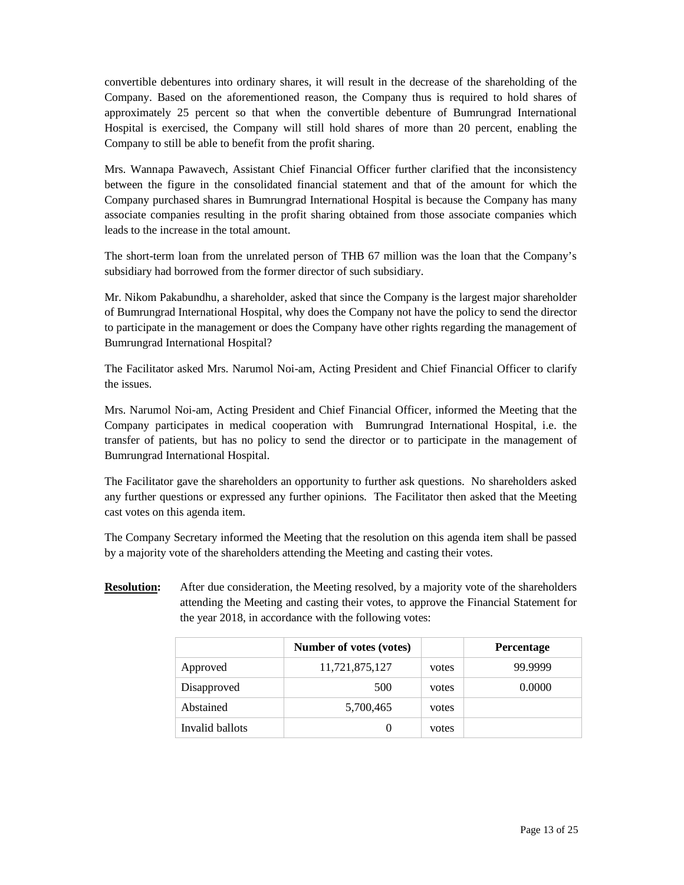convertible debentures into ordinary shares, it will result in the decrease of the shareholding of the Company. Based on the aforementioned reason, the Company thus is required to hold shares of approximately 25 percent so that when the convertible debenture of Bumrungrad International Hospital is exercised, the Company will still hold shares of more than 20 percent, enabling the Company to still be able to benefit from the profit sharing.

Mrs. Wannapa Pawavech, Assistant Chief Financial Officer further clarified that the inconsistency between the figure in the consolidated financial statement and that of the amount for which the Company purchased shares in Bumrungrad International Hospital is because the Company has many associate companies resulting in the profit sharing obtained from those associate companies which leads to the increase in the total amount.

The short-term loan from the unrelated person of THB 67 million was the loan that the Company's subsidiary had borrowed from the former director of such subsidiary.

Mr. Nikom Pakabundhu, a shareholder, asked that since the Company is the largest major shareholder of Bumrungrad International Hospital, why does the Company not have the policy to send the director to participate in the management or does the Company have other rights regarding the management of Bumrungrad International Hospital?

The Facilitator asked Mrs. Narumol Noi-am, Acting President and Chief Financial Officer to clarify the issues.

Mrs. Narumol Noi-am, Acting President and Chief Financial Officer, informed the Meeting that the Company participates in medical cooperation with Bumrungrad International Hospital, i.e. the transfer of patients, but has no policy to send the director or to participate in the management of Bumrungrad International Hospital.

The Facilitator gave the shareholders an opportunity to further ask questions. No shareholders asked any further questions or expressed any further opinions. The Facilitator then asked that the Meeting cast votes on this agenda item.

The Company Secretary informed the Meeting that the resolution on this agenda item shall be passed by a majority vote of the shareholders attending the Meeting and casting their votes.

**Resolution:** After due consideration, the Meeting resolved, by a majority vote of the shareholders attending the Meeting and casting their votes, to approve the Financial Statement for the year 2018, in accordance with the following votes:

|                 | Number of votes (votes) |       | <b>Percentage</b> |
|-----------------|-------------------------|-------|-------------------|
| Approved        | 11,721,875,127          | votes | 99.9999           |
| Disapproved     | 500                     | votes | 0.0000            |
| Abstained       | 5,700,465               | votes |                   |
| Invalid ballots |                         | votes |                   |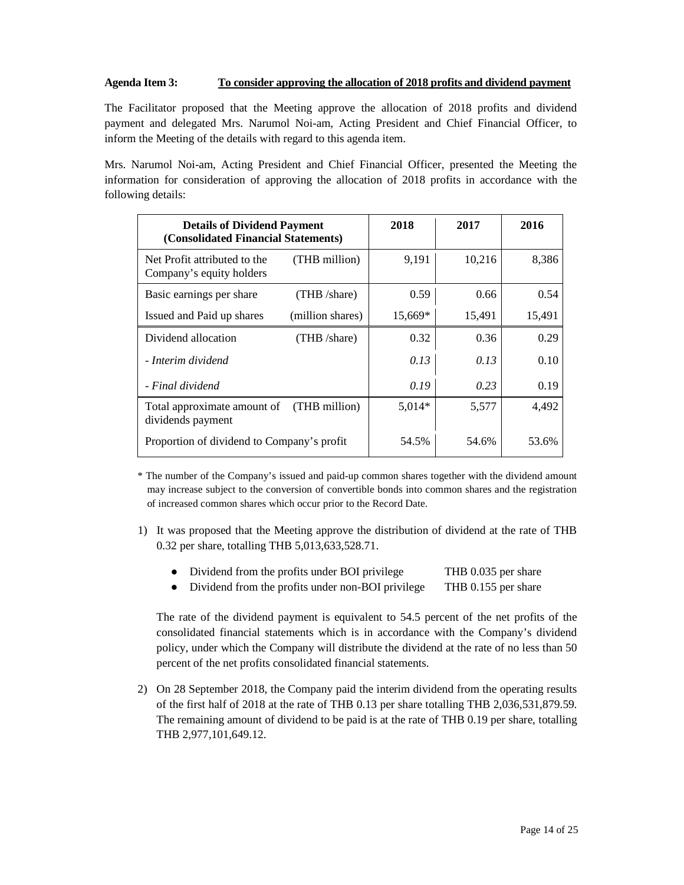## **Agenda Item 3: To consider approving the allocation of 2018 profits and dividend payment**

The Facilitator proposed that the Meeting approve the allocation of 2018 profits and dividend payment and delegated Mrs. Narumol Noi-am, Acting President and Chief Financial Officer, to inform the Meeting of the details with regard to this agenda item.

Mrs. Narumol Noi-am, Acting President and Chief Financial Officer, presented the Meeting the information for consideration of approving the allocation of 2018 profits in accordance with the following details:

| <b>Details of Dividend Payment</b><br>(Consolidated Financial Statements) |                  | 2018     | 2017   | 2016   |
|---------------------------------------------------------------------------|------------------|----------|--------|--------|
| Net Profit attributed to the<br>Company's equity holders                  | (THB million)    | 9,191    | 10,216 | 8,386  |
| Basic earnings per share                                                  | (THB /share)     | 0.59     | 0.66   | 0.54   |
| Issued and Paid up shares                                                 | (million shares) | 15,669*  | 15,491 | 15,491 |
| Dividend allocation                                                       | (THB /share)     | 0.32     | 0.36   | 0.29   |
| - Interim dividend                                                        |                  | 0.13     | 0.13   | 0.10   |
| - Final dividend                                                          |                  | 0.19     | 0.23   | 0.19   |
| Total approximate amount of<br>dividends payment                          | (THB million)    | $5,014*$ | 5,577  | 4,492  |
| Proportion of dividend to Company's profit                                |                  | 54.5%    | 54.6%  | 53.6%  |

\* The number of the Company's issued and paid-up common shares together with the dividend amount may increase subject to the conversion of convertible bonds into common shares and the registration of increased common shares which occur prior to the Record Date.

1) It was proposed that the Meeting approve the distribution of dividend at the rate of THB 0.32 per share, totalling THB 5,013,633,528.71.

|  | Dividend from the profits under BOI privilege | THB 0.035 per share |
|--|-----------------------------------------------|---------------------|
|--|-----------------------------------------------|---------------------|

• Dividend from the profits under non-BOI privilege THB 0.155 per share

The rate of the dividend payment is equivalent to 54.5 percent of the net profits of the consolidated financial statements which is in accordance with the Company's dividend policy, under which the Company will distribute the dividend at the rate of no less than 50 percent of the net profits consolidated financial statements.

2) On 28 September 2018, the Company paid the interim dividend from the operating results of the first half of 2018 at the rate of THB 0.13 per share totalling THB 2,036,531,879.59. The remaining amount of dividend to be paid is at the rate of THB 0.19 per share, totalling THB 2,977,101,649.12.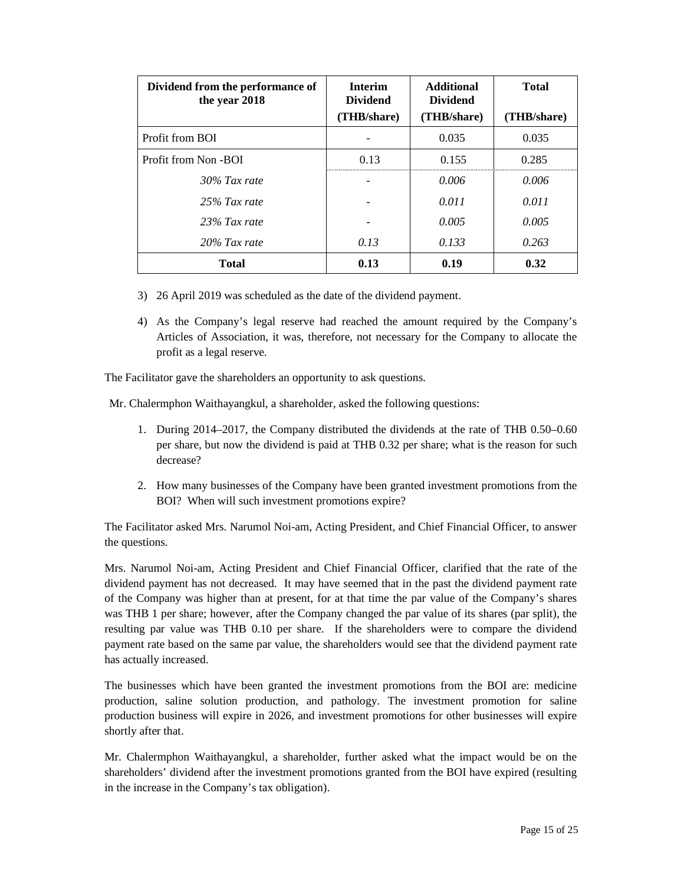| Dividend from the performance of<br>the year 2018 | <b>Interim</b><br><b>Dividend</b> | <b>Additional</b><br><b>Dividend</b> | <b>Total</b> |
|---------------------------------------------------|-----------------------------------|--------------------------------------|--------------|
|                                                   | (THB/share)                       | (THB/share)                          | (THB/share)  |
| Profit from BOI                                   |                                   | 0.035                                | 0.035        |
| Profit from Non-BOI                               | 0.13                              | 0.155                                | 0.285        |
| $30\%$ Tax rate                                   |                                   | 0.006                                | 0.006        |
| 25% Tax rate                                      |                                   | 0.011                                | 0.011        |
| 23% Tax rate                                      |                                   | 0.005                                | 0.005        |
| 20% Tax rate                                      | 0.13                              | 0.133                                | 0.263        |
| <b>Total</b>                                      | 0.13                              | 0.19                                 | 0.32         |

- 3) 26 April 2019 was scheduled as the date of the dividend payment.
- 4) As the Company's legal reserve had reached the amount required by the Company's Articles of Association, it was, therefore, not necessary for the Company to allocate the profit as a legal reserve.

The Facilitator gave the shareholders an opportunity to ask questions.

Mr. Chalermphon Waithayangkul, a shareholder, asked the following questions:

- 1. During 2014–2017, the Company distributed the dividends at the rate of THB 0.50–0.60 per share, but now the dividend is paid at THB 0.32 per share; what is the reason for such decrease?
- 2. How many businesses of the Company have been granted investment promotions from the BOI? When will such investment promotions expire?

The Facilitator asked Mrs. Narumol Noi-am, Acting President, and Chief Financial Officer, to answer the questions.

Mrs. Narumol Noi-am, Acting President and Chief Financial Officer, clarified that the rate of the dividend payment has not decreased. It may have seemed that in the past the dividend payment rate of the Company was higher than at present, for at that time the par value of the Company's shares was THB 1 per share; however, after the Company changed the par value of its shares (par split), the resulting par value was THB 0.10 per share. If the shareholders were to compare the dividend payment rate based on the same par value, the shareholders would see that the dividend payment rate has actually increased.

The businesses which have been granted the investment promotions from the BOI are: medicine production, saline solution production, and pathology. The investment promotion for saline production business will expire in 2026, and investment promotions for other businesses will expire shortly after that.

Mr. Chalermphon Waithayangkul, a shareholder, further asked what the impact would be on the shareholders' dividend after the investment promotions granted from the BOI have expired (resulting in the increase in the Company's tax obligation).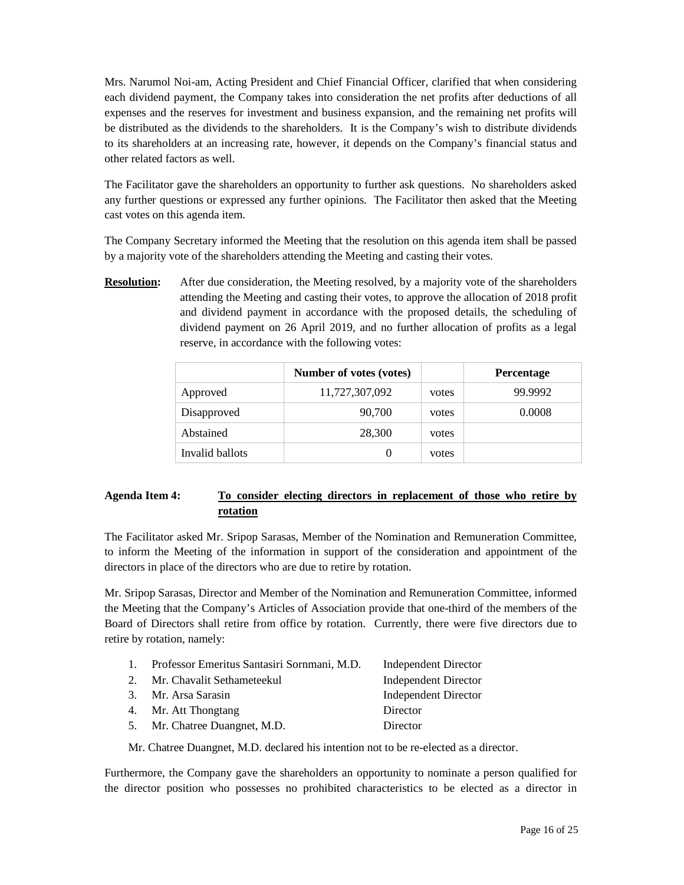Mrs. Narumol Noi-am, Acting President and Chief Financial Officer, clarified that when considering each dividend payment, the Company takes into consideration the net profits after deductions of all expenses and the reserves for investment and business expansion, and the remaining net profits will be distributed as the dividends to the shareholders. It is the Company's wish to distribute dividends to its shareholders at an increasing rate, however, it depends on the Company's financial status and other related factors as well.

The Facilitator gave the shareholders an opportunity to further ask questions. No shareholders asked any further questions or expressed any further opinions. The Facilitator then asked that the Meeting cast votes on this agenda item.

The Company Secretary informed the Meeting that the resolution on this agenda item shall be passed by a majority vote of the shareholders attending the Meeting and casting their votes.

**Resolution:** After due consideration, the Meeting resolved, by a majority vote of the shareholders attending the Meeting and casting their votes, to approve the allocation of 2018 profit and dividend payment in accordance with the proposed details, the scheduling of dividend payment on 26 April 2019, and no further allocation of profits as a legal reserve, in accordance with the following votes:

|                 | Number of votes (votes) |       | <b>Percentage</b> |
|-----------------|-------------------------|-------|-------------------|
| Approved        | 11,727,307,092          | votes | 99.9992           |
| Disapproved     | 90,700                  | votes | 0.0008            |
| Abstained       | 28,300                  | votes |                   |
| Invalid ballots | 0                       | votes |                   |

# **Agenda Item 4: To consider electing directors in replacement of those who retire by rotation**

The Facilitator asked Mr. Sripop Sarasas, Member of the Nomination and Remuneration Committee, to inform the Meeting of the information in support of the consideration and appointment of the directors in place of the directors who are due to retire by rotation.

Mr. Sripop Sarasas, Director and Member of the Nomination and Remuneration Committee, informed the Meeting that the Company's Articles of Association provide that one-third of the members of the Board of Directors shall retire from office by rotation. Currently, there were five directors due to retire by rotation, namely:

| 1. | Professor Emeritus Santasiri Sornmani, M.D. | Independent Director        |
|----|---------------------------------------------|-----------------------------|
|    | 2. Mr. Chavalit Sethameteekul               | <b>Independent Director</b> |
|    | 3. Mr. Arsa Sarasin                         | Independent Director        |
|    | 4. Mr. Att Thongtang                        | Director                    |
|    | 5. Mr. Chatree Duangnet, M.D.               | Director                    |

Mr. Chatree Duangnet, M.D. declared his intention not to be re-elected as a director.

Furthermore, the Company gave the shareholders an opportunity to nominate a person qualified for the director position who possesses no prohibited characteristics to be elected as a director in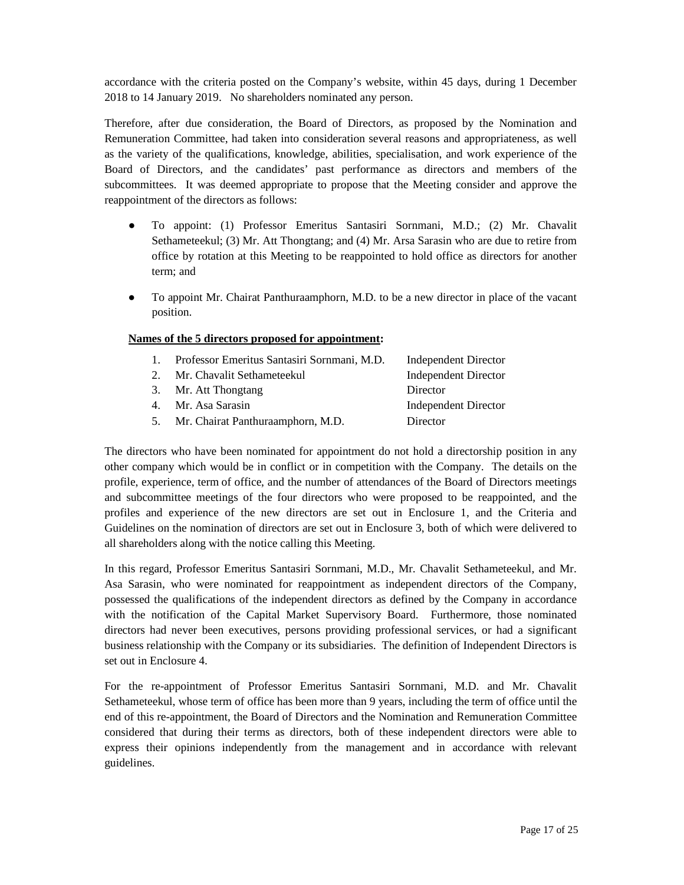accordance with the criteria posted on the Company's website, within 45 days, during 1 December 2018 to 14 January 2019. No shareholders nominated any person.

Therefore, after due consideration, the Board of Directors, as proposed by the Nomination and Remuneration Committee, had taken into consideration several reasons and appropriateness, as well as the variety of the qualifications, knowledge, abilities, specialisation, and work experience of the Board of Directors, and the candidates' past performance as directors and members of the subcommittees. It was deemed appropriate to propose that the Meeting consider and approve the reappointment of the directors as follows:

- To appoint: (1) Professor Emeritus Santasiri Sornmani, M.D.; (2) Mr. Chavalit Sethameteekul; (3) Mr. Att Thongtang; and (4) Mr. Arsa Sarasin who are due to retire from office by rotation at this Meeting to be reappointed to hold office as directors for another term; and
- To appoint Mr. Chairat Panthuraamphorn, M.D. to be a new director in place of the vacant position.

# **Names of the 5 directors proposed for appointment:**

| $\mathbf{1}$ . | Professor Emeritus Santasiri Sornmani, M.D. | Independent Director        |
|----------------|---------------------------------------------|-----------------------------|
| $2^{2}$        | Mr. Chavalit Sethameteekul                  | <b>Independent Director</b> |
|                | 3. Mr. Att Thongtang                        | Director                    |
| 4.             | Mr. Asa Sarasin                             | <b>Independent Director</b> |
| 5.             | Mr. Chairat Panthuraamphorn, M.D.           | Director                    |
|                |                                             |                             |

The directors who have been nominated for appointment do not hold a directorship position in any other company which would be in conflict or in competition with the Company. The details on the profile, experience, term of office, and the number of attendances of the Board of Directors meetings and subcommittee meetings of the four directors who were proposed to be reappointed, and the profiles and experience of the new directors are set out in Enclosure 1, and the Criteria and Guidelines on the nomination of directors are set out in Enclosure 3, both of which were delivered to all shareholders along with the notice calling this Meeting.

In this regard, Professor Emeritus Santasiri Sornmani, M.D., Mr. Chavalit Sethameteekul, and Mr. Asa Sarasin, who were nominated for reappointment as independent directors of the Company, possessed the qualifications of the independent directors as defined by the Company in accordance with the notification of the Capital Market Supervisory Board. Furthermore, those nominated directors had never been executives, persons providing professional services, or had a significant business relationship with the Company or its subsidiaries. The definition of Independent Directors is set out in Enclosure 4.

For the re-appointment of Professor Emeritus Santasiri Sornmani, M.D. and Mr. Chavalit Sethameteekul, whose term of office has been more than 9 years, including the term of office until the end of this re-appointment, the Board of Directors and the Nomination and Remuneration Committee considered that during their terms as directors, both of these independent directors were able to express their opinions independently from the management and in accordance with relevant guidelines.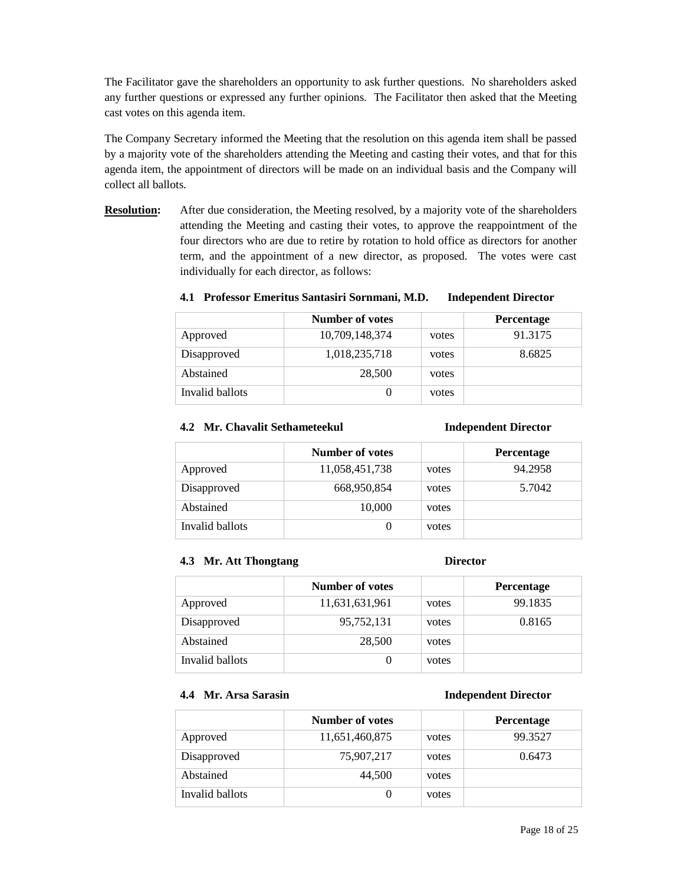The Facilitator gave the shareholders an opportunity to ask further questions. No shareholders asked any further questions or expressed any further opinions. The Facilitator then asked that the Meeting cast votes on this agenda item.

The Company Secretary informed the Meeting that the resolution on this agenda item shall be passed by a majority vote of the shareholders attending the Meeting and casting their votes, and that for this agenda item, the appointment of directors will be made on an individual basis and the Company will collect all ballots.

**Resolution:** After due consideration, the Meeting resolved, by a majority vote of the shareholders attending the Meeting and casting their votes, to approve the reappointment of the four directors who are due to retire by rotation to hold office as directors for another term, and the appointment of a new director, as proposed. The votes were cast individually for each director, as follows:

**4.1 Professor Emeritus Santasiri Sornmani, M.D. Independent Director** 

|                 | <b>Number of votes</b> |       | <b>Percentage</b> |
|-----------------|------------------------|-------|-------------------|
| Approved        | 10,709,148,374         | votes | 91.3175           |
| Disapproved     | 1,018,235,718          | votes | 8.6825            |
| Abstained       | 28,500                 | votes |                   |
| Invalid ballots |                        | votes |                   |

## **4.2 Mr. Chavalit Sethameteekul Independent Director**

|                 | Number of votes |       | <b>Percentage</b> |
|-----------------|-----------------|-------|-------------------|
| Approved        | 11,058,451,738  | votes | 94.2958           |
| Disapproved     | 668,950,854     | votes | 5.7042            |
| Abstained       | 10,000          | votes |                   |
| Invalid ballots |                 | votes |                   |

### **4.3 Mr. Att Thongtang Director**

|                 | Number of votes |       | <b>Percentage</b> |
|-----------------|-----------------|-------|-------------------|
| Approved        | 11,631,631,961  | votes | 99.1835           |
| Disapproved     | 95,752,131      | votes | 0.8165            |
| Abstained       | 28,500          | votes |                   |
| Invalid ballots |                 | votes |                   |

# **4.4 Mr. Arsa Sarasin Independent Director**

|                 | <b>Number of votes</b> |       | <b>Percentage</b> |
|-----------------|------------------------|-------|-------------------|
| Approved        | 11,651,460,875         | votes | 99.3527           |
| Disapproved     | 75,907,217             | votes | 0.6473            |
| Abstained       | 44,500                 | votes |                   |
| Invalid ballots |                        | votes |                   |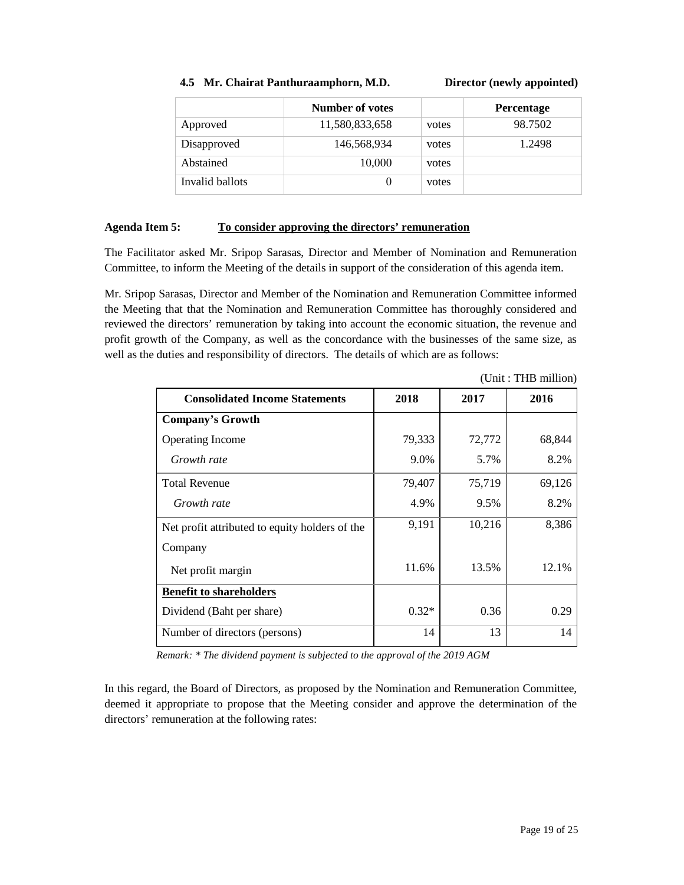### **4.5 Mr. Chairat Panthuraamphorn, M.D. Director (newly appointed)**

|                 | Number of votes |       | <b>Percentage</b> |
|-----------------|-----------------|-------|-------------------|
| Approved        | 11,580,833,658  | votes | 98.7502           |
| Disapproved     | 146,568,934     | votes | 1.2498            |
| Abstained       | 10,000          | votes |                   |
| Invalid ballots |                 | votes |                   |

## **Agenda Item 5: To consider approving the directors' remuneration**

The Facilitator asked Mr. Sripop Sarasas, Director and Member of Nomination and Remuneration Committee, to inform the Meeting of the details in support of the consideration of this agenda item.

Mr. Sripop Sarasas, Director and Member of the Nomination and Remuneration Committee informed the Meeting that that the Nomination and Remuneration Committee has thoroughly considered and reviewed the directors' remuneration by taking into account the economic situation, the revenue and profit growth of the Company, as well as the concordance with the businesses of the same size, as well as the duties and responsibility of directors. The details of which are as follows:

| <b>Consolidated Income Statements</b>          | 2018    | 2017   | 2016   |
|------------------------------------------------|---------|--------|--------|
| <b>Company's Growth</b>                        |         |        |        |
| <b>Operating Income</b>                        | 79,333  | 72,772 | 68,844 |
| Growth rate                                    | 9.0%    | 5.7%   | 8.2%   |
| <b>Total Revenue</b>                           | 79,407  | 75,719 | 69,126 |
| Growth rate                                    | 4.9%    | 9.5%   | 8.2%   |
| Net profit attributed to equity holders of the | 9,191   | 10,216 | 8,386  |
| Company                                        |         |        |        |
| Net profit margin                              | 11.6%   | 13.5%  | 12.1%  |
| <b>Benefit to shareholders</b>                 |         |        |        |
| Dividend (Baht per share)                      | $0.32*$ | 0.36   | 0.29   |
| Number of directors (persons)                  | 14      | 13     | 14     |

(Unit : THB million)

*Remark: \* The dividend payment is subjected to the approval of the 2019 AGM* 

In this regard, the Board of Directors, as proposed by the Nomination and Remuneration Committee, deemed it appropriate to propose that the Meeting consider and approve the determination of the directors' remuneration at the following rates: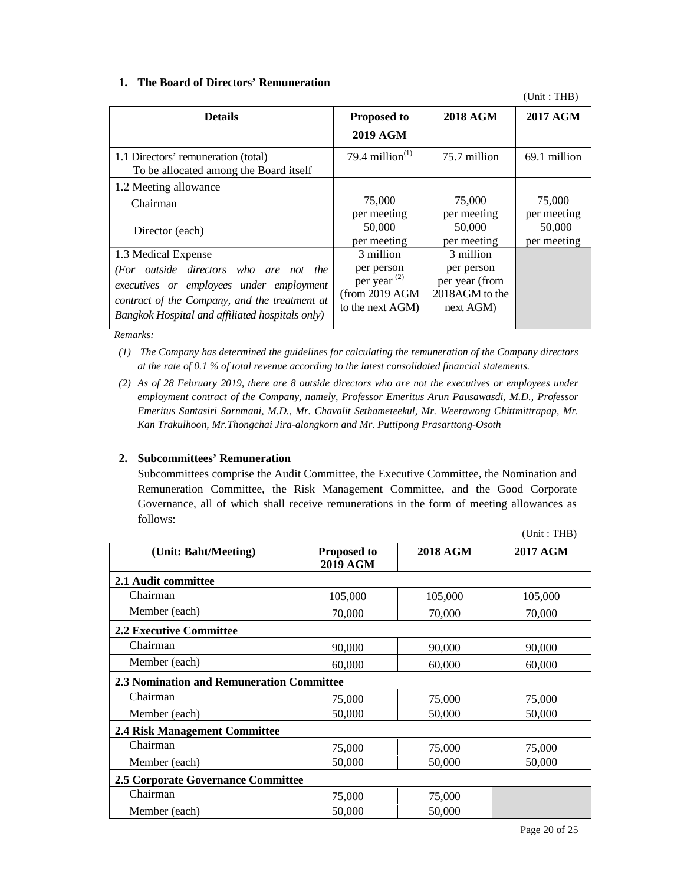## **1. The Board of Directors' Remuneration**

(Unit : THB)

| <b>Details</b>                                                                | <b>Proposed to</b><br><b>2019 AGM</b> | <b>2018 AGM</b> | <b>2017 AGM</b> |
|-------------------------------------------------------------------------------|---------------------------------------|-----------------|-----------------|
| 1.1 Directors' remuneration (total)<br>To be allocated among the Board itself | 79.4 million $(1)$                    | 75.7 million    | 69.1 million    |
| 1.2 Meeting allowance                                                         | 75,000                                | 75,000          | 75,000          |
| Chairman                                                                      | per meeting                           | per meeting     | per meeting     |
| Director (each)                                                               | 50,000                                | 50,000          | 50,000          |
|                                                                               | per meeting                           | per meeting     | per meeting     |
| 1.3 Medical Expense                                                           | 3 million                             | 3 million       |                 |
| (For outside directors who are not the                                        | per person                            | per person      |                 |
| executives or employees under employment                                      | per year $(2)$                        | per year (from  |                 |
| contract of the Company, and the treatment at                                 | (from 2019 AGM                        | 2018AGM to the  |                 |
| Bangkok Hospital and affiliated hospitals only)                               | to the next AGM)                      | next AGM)       |                 |

*Remarks:* 

*(1) The Company has determined the guidelines for calculating the remuneration of the Company directors at the rate of 0.1 % of total revenue according to the latest consolidated financial statements.* 

*(2) As of 28 February 2019, there are 8 outside directors who are not the executives or employees under employment contract of the Company, namely, Professor Emeritus Arun Pausawasdi, M.D., Professor Emeritus Santasiri Sornmani, M.D., Mr. Chavalit Sethameteekul, Mr. Weerawong Chittmittrapap, Mr. Kan Trakulhoon, Mr.Thongchai Jira-alongkorn and Mr. Puttipong Prasarttong-Osoth* 

## **2. Subcommittees' Remuneration**

Subcommittees comprise the Audit Committee, the Executive Committee, the Nomination and Remuneration Committee, the Risk Management Committee, and the Good Corporate Governance, all of which shall receive remunerations in the form of meeting allowances as follows:

| (Unit: Baht/Meeting)                      | <b>Proposed to</b><br>2019 AGM | <b>2018 AGM</b> | <b>2017 AGM</b> |
|-------------------------------------------|--------------------------------|-----------------|-----------------|
| 2.1 Audit committee                       |                                |                 |                 |
| Chairman                                  | 105,000                        | 105,000         | 105,000         |
| Member (each)                             | 70,000                         | 70,000          | 70,000          |
| <b>2.2 Executive Committee</b>            |                                |                 |                 |
| Chairman                                  | 90,000                         | 90,000          | 90,000          |
| Member (each)                             | 60,000                         | 60,000          | 60,000          |
| 2.3 Nomination and Remuneration Committee |                                |                 |                 |
| Chairman                                  | 75,000                         | 75,000          | 75,000          |
| Member (each)                             | 50,000                         | 50,000          | 50,000          |
| 2.4 Risk Management Committee             |                                |                 |                 |
| Chairman                                  | 75,000                         | 75,000          | 75,000          |
| Member (each)                             | 50,000                         | 50,000          | 50,000          |
| 2.5 Corporate Governance Committee        |                                |                 |                 |
| Chairman                                  | 75,000                         | 75,000          |                 |
| Member (each)                             | 50,000                         | 50,000          |                 |

 $(Hint \cdot THR)$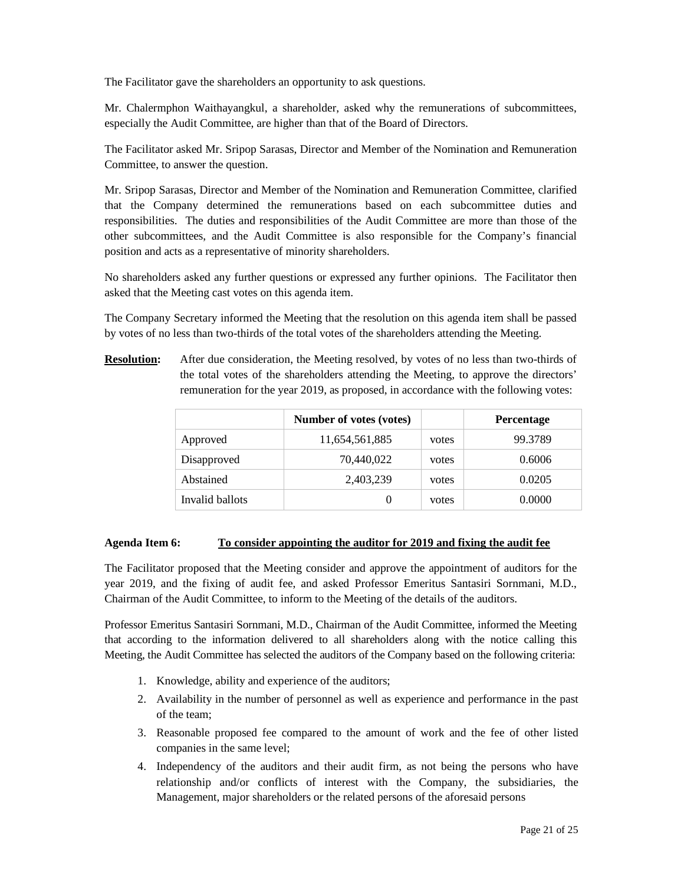The Facilitator gave the shareholders an opportunity to ask questions.

Mr. Chalermphon Waithayangkul, a shareholder, asked why the remunerations of subcommittees, especially the Audit Committee, are higher than that of the Board of Directors.

The Facilitator asked Mr. Sripop Sarasas, Director and Member of the Nomination and Remuneration Committee, to answer the question.

Mr. Sripop Sarasas, Director and Member of the Nomination and Remuneration Committee, clarified that the Company determined the remunerations based on each subcommittee duties and responsibilities. The duties and responsibilities of the Audit Committee are more than those of the other subcommittees, and the Audit Committee is also responsible for the Company's financial position and acts as a representative of minority shareholders.

No shareholders asked any further questions or expressed any further opinions. The Facilitator then asked that the Meeting cast votes on this agenda item.

The Company Secretary informed the Meeting that the resolution on this agenda item shall be passed by votes of no less than two-thirds of the total votes of the shareholders attending the Meeting.

**Resolution:** After due consideration, the Meeting resolved, by votes of no less than two-thirds of the total votes of the shareholders attending the Meeting, to approve the directors' remuneration for the year 2019, as proposed, in accordance with the following votes:

|                 | Number of votes (votes) |       | <b>Percentage</b> |
|-----------------|-------------------------|-------|-------------------|
| Approved        | 11,654,561,885          | votes | 99.3789           |
| Disapproved     | 70,440,022              | votes | 0.6006            |
| Abstained       | 2,403,239               | votes | 0.0205            |
| Invalid ballots |                         | votes | 0.0000            |

## **Agenda Item 6: To consider appointing the auditor for 2019 and fixing the audit fee**

The Facilitator proposed that the Meeting consider and approve the appointment of auditors for the year 2019, and the fixing of audit fee, and asked Professor Emeritus Santasiri Sornmani, M.D., Chairman of the Audit Committee, to inform to the Meeting of the details of the auditors.

Professor Emeritus Santasiri Sornmani, M.D., Chairman of the Audit Committee, informed the Meeting that according to the information delivered to all shareholders along with the notice calling this Meeting, the Audit Committee has selected the auditors of the Company based on the following criteria:

- 1. Knowledge, ability and experience of the auditors;
- 2. Availability in the number of personnel as well as experience and performance in the past of the team;
- 3. Reasonable proposed fee compared to the amount of work and the fee of other listed companies in the same level;
- 4. Independency of the auditors and their audit firm, as not being the persons who have relationship and/or conflicts of interest with the Company, the subsidiaries, the Management, major shareholders or the related persons of the aforesaid persons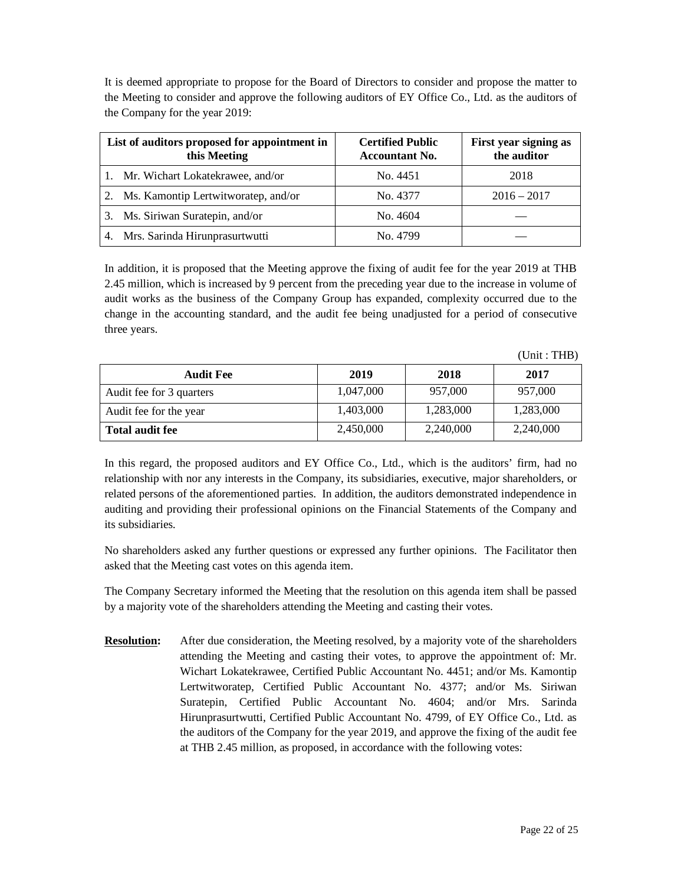It is deemed appropriate to propose for the Board of Directors to consider and propose the matter to the Meeting to consider and approve the following auditors of EY Office Co., Ltd. as the auditors of the Company for the year 2019:

| List of auditors proposed for appointment in<br>this Meeting | <b>Certified Public</b><br><b>Accountant No.</b> | First year signing as<br>the auditor |
|--------------------------------------------------------------|--------------------------------------------------|--------------------------------------|
| 1. Mr. Wichart Lokatekrawee, and/or                          | No. 4451                                         | 2018                                 |
| 2.<br>Ms. Kamontip Lertwitworatep, and/or                    | No. 4377                                         | $2016 - 2017$                        |
| Ms. Siriwan Suratepin, and/or<br>3.                          | No. 4604                                         |                                      |
| Mrs. Sarinda Hirunprasurtwutti<br>4.                         | No. 4799                                         |                                      |

In addition, it is proposed that the Meeting approve the fixing of audit fee for the year 2019 at THB 2.45 million, which is increased by 9 percent from the preceding year due to the increase in volume of audit works as the business of the Company Group has expanded, complexity occurred due to the change in the accounting standard, and the audit fee being unadjusted for a period of consecutive three years.

| <b>Audit Fee</b>         | 2019      | 2018      | 2017      |
|--------------------------|-----------|-----------|-----------|
| Audit fee for 3 quarters | 1,047,000 | 957,000   | 957,000   |
| Audit fee for the year   | 1,403,000 | 1,283,000 | 1,283,000 |
| <b>Total audit fee</b>   | 2,450,000 | 2,240,000 | 2,240,000 |

In this regard, the proposed auditors and EY Office Co., Ltd., which is the auditors' firm, had no relationship with nor any interests in the Company, its subsidiaries, executive, major shareholders, or related persons of the aforementioned parties. In addition, the auditors demonstrated independence in auditing and providing their professional opinions on the Financial Statements of the Company and its subsidiaries.

No shareholders asked any further questions or expressed any further opinions. The Facilitator then asked that the Meeting cast votes on this agenda item.

The Company Secretary informed the Meeting that the resolution on this agenda item shall be passed by a majority vote of the shareholders attending the Meeting and casting their votes.

**Resolution:** After due consideration, the Meeting resolved, by a majority vote of the shareholders attending the Meeting and casting their votes, to approve the appointment of: Mr. Wichart Lokatekrawee, Certified Public Accountant No. 4451; and/or Ms. Kamontip Lertwitworatep, Certified Public Accountant No. 4377; and/or Ms. Siriwan Suratepin, Certified Public Accountant No. 4604; and/or Mrs. Sarinda Hirunprasurtwutti, Certified Public Accountant No. 4799, of EY Office Co., Ltd. as the auditors of the Company for the year 2019, and approve the fixing of the audit fee at THB 2.45 million, as proposed, in accordance with the following votes:

 $(Unit \cdot THB)$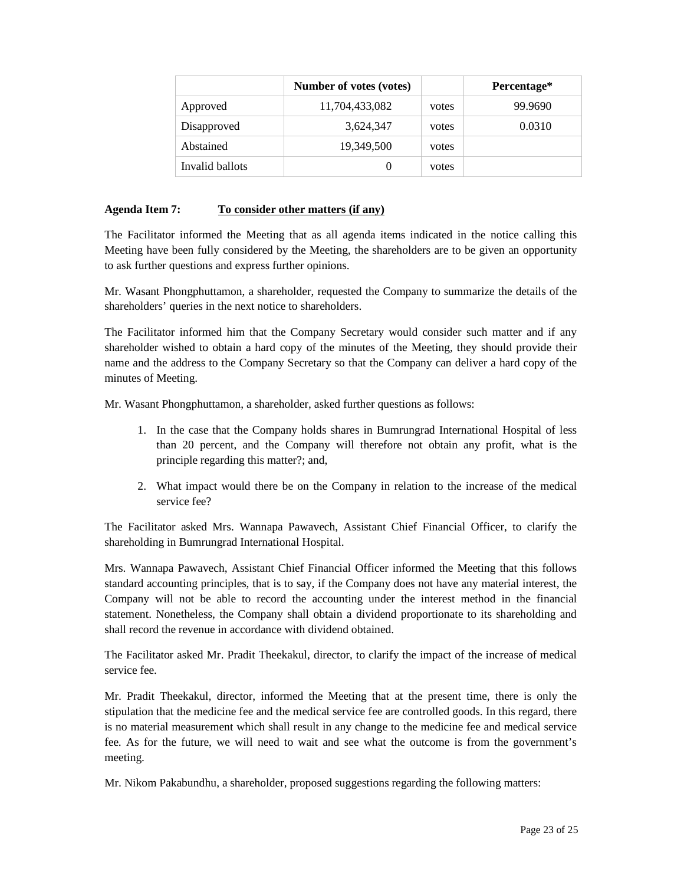|                 | Number of votes (votes) |       | Percentage* |
|-----------------|-------------------------|-------|-------------|
| Approved        | 11,704,433,082          | votes | 99.9690     |
| Disapproved     | 3,624,347               | votes | 0.0310      |
| Abstained       | 19,349,500              | votes |             |
| Invalid ballots | 0                       | votes |             |

## **Agenda Item 7: To consider other matters (if any)**

The Facilitator informed the Meeting that as all agenda items indicated in the notice calling this Meeting have been fully considered by the Meeting, the shareholders are to be given an opportunity to ask further questions and express further opinions.

Mr. Wasant Phongphuttamon, a shareholder, requested the Company to summarize the details of the shareholders' queries in the next notice to shareholders.

The Facilitator informed him that the Company Secretary would consider such matter and if any shareholder wished to obtain a hard copy of the minutes of the Meeting, they should provide their name and the address to the Company Secretary so that the Company can deliver a hard copy of the minutes of Meeting.

Mr. Wasant Phongphuttamon, a shareholder, asked further questions as follows:

- 1. In the case that the Company holds shares in Bumrungrad International Hospital of less than 20 percent, and the Company will therefore not obtain any profit, what is the principle regarding this matter?; and,
- 2. What impact would there be on the Company in relation to the increase of the medical service fee?

The Facilitator asked Mrs. Wannapa Pawavech, Assistant Chief Financial Officer, to clarify the shareholding in Bumrungrad International Hospital.

Mrs. Wannapa Pawavech, Assistant Chief Financial Officer informed the Meeting that this follows standard accounting principles, that is to say, if the Company does not have any material interest, the Company will not be able to record the accounting under the interest method in the financial statement. Nonetheless, the Company shall obtain a dividend proportionate to its shareholding and shall record the revenue in accordance with dividend obtained.

The Facilitator asked Mr. Pradit Theekakul, director, to clarify the impact of the increase of medical service fee.

Mr. Pradit Theekakul, director, informed the Meeting that at the present time, there is only the stipulation that the medicine fee and the medical service fee are controlled goods. In this regard, there is no material measurement which shall result in any change to the medicine fee and medical service fee. As for the future, we will need to wait and see what the outcome is from the government's meeting.

Mr. Nikom Pakabundhu, a shareholder, proposed suggestions regarding the following matters: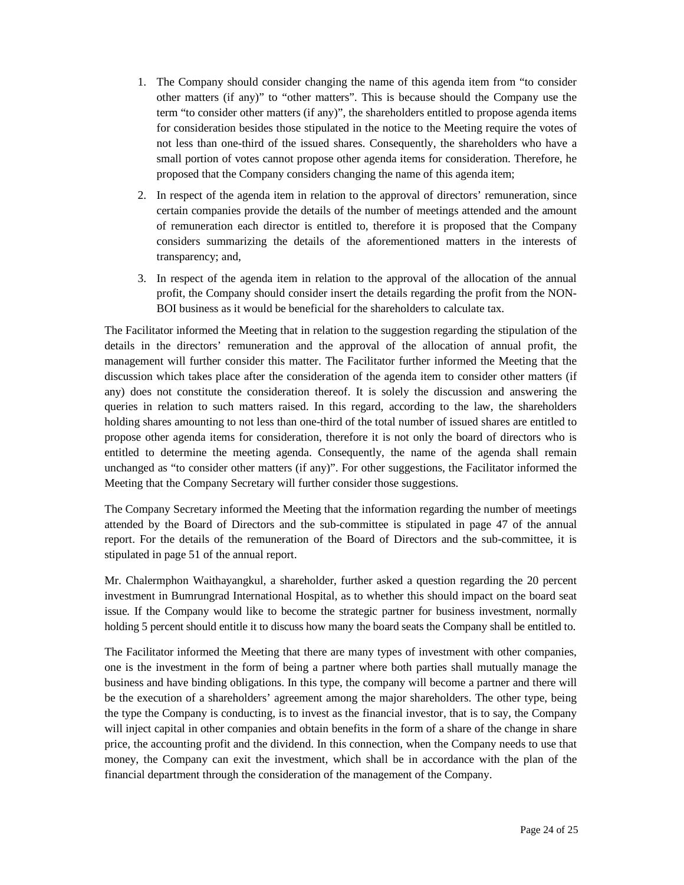- 1. The Company should consider changing the name of this agenda item from "to consider other matters (if any)" to "other matters". This is because should the Company use the term "to consider other matters (if any)", the shareholders entitled to propose agenda items for consideration besides those stipulated in the notice to the Meeting require the votes of not less than one-third of the issued shares. Consequently, the shareholders who have a small portion of votes cannot propose other agenda items for consideration. Therefore, he proposed that the Company considers changing the name of this agenda item;
- 2. In respect of the agenda item in relation to the approval of directors' remuneration, since certain companies provide the details of the number of meetings attended and the amount of remuneration each director is entitled to, therefore it is proposed that the Company considers summarizing the details of the aforementioned matters in the interests of transparency; and,
- 3. In respect of the agenda item in relation to the approval of the allocation of the annual profit, the Company should consider insert the details regarding the profit from the NON-BOI business as it would be beneficial for the shareholders to calculate tax.

The Facilitator informed the Meeting that in relation to the suggestion regarding the stipulation of the details in the directors' remuneration and the approval of the allocation of annual profit, the management will further consider this matter. The Facilitator further informed the Meeting that the discussion which takes place after the consideration of the agenda item to consider other matters (if any) does not constitute the consideration thereof. It is solely the discussion and answering the queries in relation to such matters raised. In this regard, according to the law, the shareholders holding shares amounting to not less than one-third of the total number of issued shares are entitled to propose other agenda items for consideration, therefore it is not only the board of directors who is entitled to determine the meeting agenda. Consequently, the name of the agenda shall remain unchanged as "to consider other matters (if any)". For other suggestions, the Facilitator informed the Meeting that the Company Secretary will further consider those suggestions.

The Company Secretary informed the Meeting that the information regarding the number of meetings attended by the Board of Directors and the sub-committee is stipulated in page 47 of the annual report. For the details of the remuneration of the Board of Directors and the sub-committee, it is stipulated in page 51 of the annual report.

Mr. Chalermphon Waithayangkul, a shareholder, further asked a question regarding the 20 percent investment in Bumrungrad International Hospital, as to whether this should impact on the board seat issue. If the Company would like to become the strategic partner for business investment, normally holding 5 percent should entitle it to discuss how many the board seats the Company shall be entitled to.

The Facilitator informed the Meeting that there are many types of investment with other companies, one is the investment in the form of being a partner where both parties shall mutually manage the business and have binding obligations. In this type, the company will become a partner and there will be the execution of a shareholders' agreement among the major shareholders. The other type, being the type the Company is conducting, is to invest as the financial investor, that is to say, the Company will inject capital in other companies and obtain benefits in the form of a share of the change in share price, the accounting profit and the dividend. In this connection, when the Company needs to use that money, the Company can exit the investment, which shall be in accordance with the plan of the financial department through the consideration of the management of the Company.